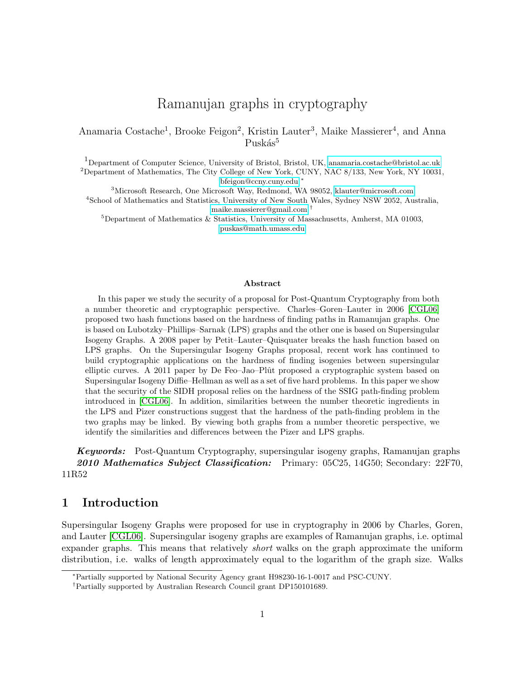# Ramanujan graphs in cryptography

Anamaria Costache<sup>1</sup>, Brooke Feigon<sup>2</sup>, Kristin Lauter<sup>3</sup>, Maike Massierer<sup>4</sup>, and Anna Puskás<sup>5</sup>

<sup>1</sup>Department of Computer Science, University of Bristol, Bristol, UK, [anamaria.costache@bristol.ac.uk](mailto:anamaria.costache@bristol.ac.uk) <sup>2</sup>Department of Mathematics, The City College of New York, CUNY, NAC 8/133, New York, NY 10031, [bfeigon@ccny.cuny.edu](mailto:bfeigon@ccny.cuny.edu) <sup>∗</sup>

<sup>3</sup>Microsoft Research, One Microsoft Way, Redmond, WA 98052, [klauter@microsoft.com](mailto:klauter@microsoft.com) <sup>4</sup>School of Mathematics and Statistics, University of New South Wales, Sydney NSW 2052, Australia, [maike.massierer@gmail.com](mailto:maike.massierer@gmail.com) †

 ${}^{5}$ Department of Mathematics & Statistics, University of Massachusetts, Amherst, MA 01003, [puskas@math.umass.edu](mailto:puskas@math.umass.edu)

#### Abstract

In this paper we study the security of a proposal for Post-Quantum Cryptography from both a number theoretic and cryptographic perspective. Charles–Goren–Lauter in 2006 [\[CGL06\]](#page-31-0) proposed two hash functions based on the hardness of finding paths in Ramanujan graphs. One is based on Lubotzky–Phillips–Sarnak (LPS) graphs and the other one is based on Supersingular Isogeny Graphs. A 2008 paper by Petit–Lauter–Quisquater breaks the hash function based on LPS graphs. On the Supersingular Isogeny Graphs proposal, recent work has continued to build cryptographic applications on the hardness of finding isogenies between supersingular elliptic curves. A 2011 paper by De Feo–Jao–Plût proposed a cryptographic system based on Supersingular Isogeny Diffie–Hellman as well as a set of five hard problems. In this paper we show that the security of the SIDH proposal relies on the hardness of the SSIG path-finding problem introduced in [\[CGL06\]](#page-31-0). In addition, similarities between the number theoretic ingredients in the LPS and Pizer constructions suggest that the hardness of the path-finding problem in the two graphs may be linked. By viewing both graphs from a number theoretic perspective, we identify the similarities and differences between the Pizer and LPS graphs.

**Keywords:** Post-Quantum Cryptography, supersingular isogeny graphs, Ramanujan graphs 2010 Mathematics Subject Classification: Primary:  $05C25$ , 14G50; Secondary:  $22F70$ , 11R52

### 1 Introduction

Supersingular Isogeny Graphs were proposed for use in cryptography in 2006 by Charles, Goren, and Lauter [\[CGL06\]](#page-31-0). Supersingular isogeny graphs are examples of Ramanujan graphs, i.e. optimal expander graphs. This means that relatively short walks on the graph approximate the uniform distribution, i.e. walks of length approximately equal to the logarithm of the graph size. Walks

<sup>∗</sup>Partially supported by National Security Agency grant H98230-16-1-0017 and PSC-CUNY.

<sup>†</sup>Partially supported by Australian Research Council grant DP150101689.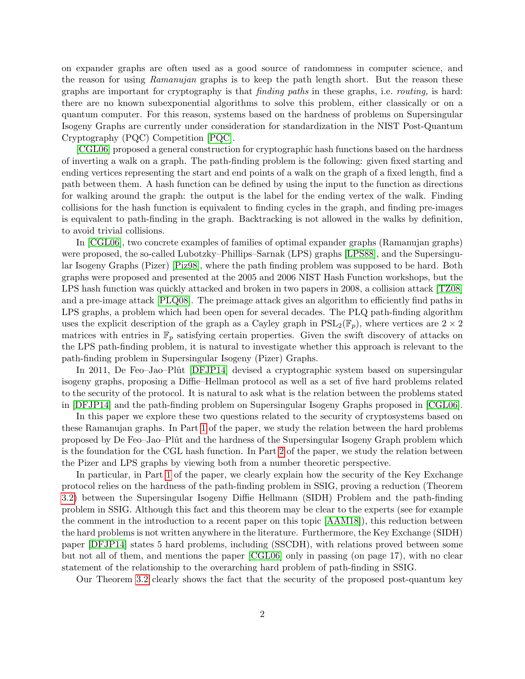on expander graphs are often used as a good source of randomness in computer science, and the reason for using Ramanujan graphs is to keep the path length short. But the reason these graphs are important for cryptography is that finding paths in these graphs, i.e. routing, is hard: there are no known subexponential algorithms to solve this problem, either classically or on a quantum computer. For this reason, systems based on the hardness of problems on Supersingular Isogeny Graphs are currently under consideration for standardization in the NIST Post-Quantum Cryptography (PQC) Competition [\[PQC\]](#page-32-0).

[\[CGL06\]](#page-31-0) proposed a general construction for cryptographic hash functions based on the hardness of inverting a walk on a graph. The path-finding problem is the following: given fixed starting and ending vertices representing the start and end points of a walk on the graph of a fixed length, find a path between them. A hash function can be defined by using the input to the function as directions for walking around the graph: the output is the label for the ending vertex of the walk. Finding collisions for the hash function is equivalent to finding cycles in the graph, and finding pre-images is equivalent to path-finding in the graph. Backtracking is not allowed in the walks by definition, to avoid trivial collisions.

In [\[CGL06\]](#page-31-0), two concrete examples of families of optimal expander graphs (Ramanujan graphs) were proposed, the so-called Lubotzky–Phillips–Sarnak (LPS) graphs [\[LPS88\]](#page-31-1), and the Supersingular Isogeny Graphs (Pizer) [\[Piz98\]](#page-32-1), where the path finding problem was supposed to be hard. Both graphs were proposed and presented at the 2005 and 2006 NIST Hash Function workshops, but the LPS hash function was quickly attacked and broken in two papers in 2008, a collision attack [\[TZ08\]](#page-32-2) and a pre-image attack [\[PLQ08\]](#page-32-3). The preimage attack gives an algorithm to efficiently find paths in LPS graphs, a problem which had been open for several decades. The PLQ path-finding algorithm uses the explicit description of the graph as a Cayley graph in  $PSL_2(\mathbb{F}_p)$ , where vertices are  $2 \times 2$ matrices with entries in  $\mathbb{F}_p$  satisfying certain properties. Given the swift discovery of attacks on the LPS path-finding problem, it is natural to investigate whether this approach is relevant to the path-finding problem in Supersingular Isogeny (Pizer) Graphs.

In 2011, De Feo–Jao–Plût [\[DFJP14\]](#page-31-2) devised a cryptographic system based on supersingular isogeny graphs, proposing a Diffie–Hellman protocol as well as a set of five hard problems related to the security of the protocol. It is natural to ask what is the relation between the problems stated in [\[DFJP14\]](#page-31-2) and the path-finding problem on Supersingular Isogeny Graphs proposed in [\[CGL06\]](#page-31-0).

In this paper we explore these two questions related to the security of cryptosystems based on these Ramanujan graphs. In Part [1](#page-2-0) of the paper, we study the relation between the hard problems proposed by De Feo–Jao–Plût and the hardness of the Supersingular Isogeny Graph problem which is the foundation for the CGL hash function. In Part [2](#page-12-0) of the paper, we study the relation between the Pizer and LPS graphs by viewing both from a number theoretic perspective.

In particular, in Part [1](#page-2-0) of the paper, we clearly explain how the security of the Key Exchange protocol relies on the hardness of the path-finding problem in SSIG, proving a reduction (Theorem [3.2\)](#page-8-0) between the Supersingular Isogeny Diffie Hellmann (SIDH) Problem and the path-finding problem in SSIG. Although this fact and this theorem may be clear to the experts (see for example the comment in the introduction to a recent paper on this topic [\[AAM18\]](#page-31-3)), this reduction between the hard problems is not written anywhere in the literature. Furthermore, the Key Exchange (SIDH) paper [\[DFJP14\]](#page-31-2) states 5 hard problems, including (SSCDH), with relations proved between some but not all of them, and mentions the paper [\[CGL06\]](#page-31-0) only in passing (on page 17), with no clear statement of the relationship to the overarching hard problem of path-finding in SSIG.

Our Theorem [3.2](#page-8-0) clearly shows the fact that the security of the proposed post-quantum key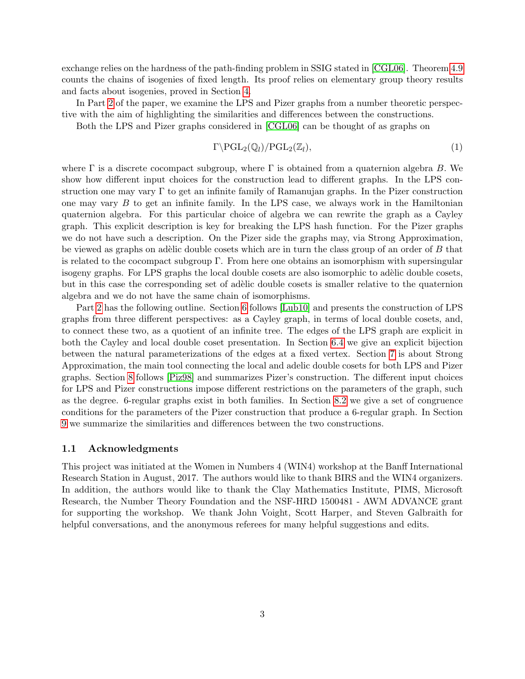exchange relies on the hardness of the path-finding problem in SSIG stated in [\[CGL06\]](#page-31-0). Theorem [4.9](#page-11-0) counts the chains of isogenies of fixed length. Its proof relies on elementary group theory results and facts about isogenies, proved in Section [4.](#page-8-1)

In Part [2](#page-12-0) of the paper, we examine the LPS and Pizer graphs from a number theoretic perspective with the aim of highlighting the similarities and differences between the constructions.

Both the LPS and Pizer graphs considered in [\[CGL06\]](#page-31-0) can be thought of as graphs on

$$
\Gamma \backslash \mathrm{PGL}_2(\mathbb{Q}_l)/\mathrm{PGL}_2(\mathbb{Z}_l),\tag{1}
$$

where  $\Gamma$  is a discrete cocompact subgroup, where  $\Gamma$  is obtained from a quaternion algebra B. We show how different input choices for the construction lead to different graphs. In the LPS construction one may vary  $\Gamma$  to get an infinite family of Ramanujan graphs. In the Pizer construction one may vary  $B$  to get an infinite family. In the LPS case, we always work in the Hamiltonian quaternion algebra. For this particular choice of algebra we can rewrite the graph as a Cayley graph. This explicit description is key for breaking the LPS hash function. For the Pizer graphs we do not have such a description. On the Pizer side the graphs may, via Strong Approximation, be viewed as graphs on adèlic double cosets which are in turn the class group of an order of  $B$  that is related to the cocompact subgroup  $\Gamma$ . From here one obtains an isomorphism with supersingular isogeny graphs. For LPS graphs the local double cosets are also isomorphic to adèlic double cosets, but in this case the corresponding set of adèlic double cosets is smaller relative to the quaternion algebra and we do not have the same chain of isomorphisms.

Part [2](#page-12-0) has the following outline. Section [6](#page-15-0) follows [\[Lub10\]](#page-32-4) and presents the construction of LPS graphs from three different perspectives: as a Cayley graph, in terms of local double cosets, and, to connect these two, as a quotient of an infinite tree. The edges of the LPS graph are explicit in both the Cayley and local double coset presentation. In Section [6.4](#page-18-0) we give an explicit bijection between the natural parameterizations of the edges at a fixed vertex. Section [7](#page-20-0) is about Strong Approximation, the main tool connecting the local and adelic double cosets for both LPS and Pizer graphs. Section [8](#page-25-0) follows [\[Piz98\]](#page-32-1) and summarizes Pizer's construction. The different input choices for LPS and Pizer constructions impose different restrictions on the parameters of the graph, such as the degree. 6-regular graphs exist in both families. In Section [8.2](#page-27-0) we give a set of congruence conditions for the parameters of the Pizer construction that produce a 6-regular graph. In Section [9](#page-29-0) we summarize the similarities and differences between the two constructions.

#### 1.1 Acknowledgments

<span id="page-2-0"></span>This project was initiated at the Women in Numbers 4 (WIN4) workshop at the Banff International Research Station in August, 2017. The authors would like to thank BIRS and the WIN4 organizers. In addition, the authors would like to thank the Clay Mathematics Institute, PIMS, Microsoft Research, the Number Theory Foundation and the NSF-HRD 1500481 - AWM ADVANCE grant for supporting the workshop. We thank John Voight, Scott Harper, and Steven Galbraith for helpful conversations, and the anonymous referees for many helpful suggestions and edits.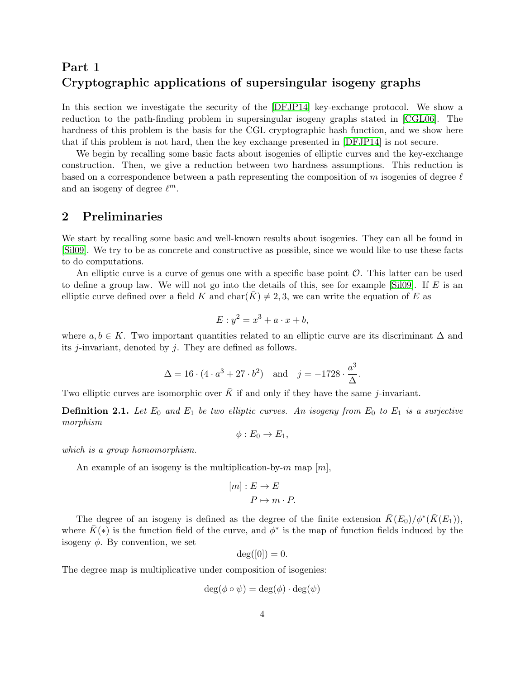# Part 1 Cryptographic applications of supersingular isogeny graphs

In this section we investigate the security of the [\[DFJP14\]](#page-31-2) key-exchange protocol. We show a reduction to the path-finding problem in supersingular isogeny graphs stated in [\[CGL06\]](#page-31-0). The hardness of this problem is the basis for the CGL cryptographic hash function, and we show here that if this problem is not hard, then the key exchange presented in [\[DFJP14\]](#page-31-2) is not secure.

We begin by recalling some basic facts about isogenies of elliptic curves and the key-exchange construction. Then, we give a reduction between two hardness assumptions. This reduction is based on a correspondence between a path representing the composition of m isogenies of degree  $\ell$ and an isogeny of degree  $\ell^m$ .

### 2 Preliminaries

We start by recalling some basic and well-known results about isogenies. They can all be found in [\[Sil09\]](#page-32-5). We try to be as concrete and constructive as possible, since we would like to use these facts to do computations.

An elliptic curve is a curve of genus one with a specific base point  $\mathcal{O}$ . This latter can be used to define a group law. We will not go into the details of this, see for example [\[Sil09\]](#page-32-5). If  $E$  is an elliptic curve defined over a field K and  $char(K) \neq 2, 3$ , we can write the equation of E as

$$
E: y^2 = x^3 + a \cdot x + b,
$$

where  $a, b \in K$ . Two important quantities related to an elliptic curve are its discriminant  $\Delta$  and its  $j$ -invariant, denoted by  $j$ . They are defined as follows.

$$
\Delta = 16 \cdot (4 \cdot a^3 + 27 \cdot b^2)
$$
 and  $j = -1728 \cdot \frac{a^3}{\Delta}$ 

.

Two elliptic curves are isomorphic over  $\bar{K}$  if and only if they have the same j-invariant.

**Definition 2.1.** Let  $E_0$  and  $E_1$  be two elliptic curves. An isogeny from  $E_0$  to  $E_1$  is a surjective morphism

$$
\phi: E_0 \to E_1,
$$

which is a group homomorphism.

An example of an isogeny is the multiplication-by-m map  $[m]$ ,

$$
[m]: E \to E
$$

$$
P \mapsto m \cdot P.
$$

The degree of an isogeny is defined as the degree of the finite extension  $\bar{K}(E_0)/\phi^*(\bar{K}(E_1)),$ where  $\bar{K}(*)$  is the function field of the curve, and  $\phi^*$  is the map of function fields induced by the isogeny  $\phi$ . By convention, we set

$$
\deg([0])=0.
$$

The degree map is multiplicative under composition of isogenies:

$$
\deg(\phi\circ\psi)=\deg(\phi)\cdot\deg(\psi)
$$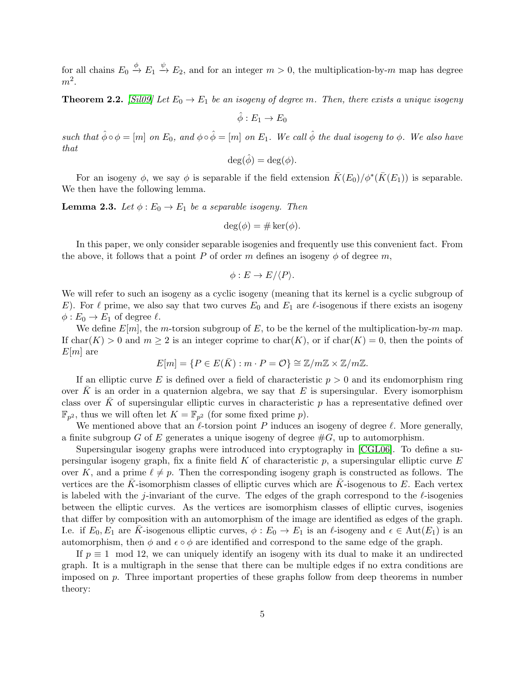for all chains  $E_0 \stackrel{\phi}{\to} E_1 \stackrel{\psi}{\to} E_2$ , and for an integer  $m > 0$ , the multiplication-by-m map has degree  $m^2$ .

**Theorem 2.2.** [\[Sil09\]](#page-32-5) Let  $E_0 \rightarrow E_1$  be an isogeny of degree m. Then, there exists a unique isogeny

$$
\hat{\phi}: E_1 \to E_0
$$

such that  $\hat{\phi} \circ \phi = [m]$  on  $E_0$ , and  $\phi \circ \hat{\phi} = [m]$  on  $E_1$ . We call  $\hat{\phi}$  the dual isogeny to  $\phi$ . We also have that

$$
\deg(\hat{\phi}) = \deg(\phi).
$$

For an isogeny  $\phi$ , we say  $\phi$  is separable if the field extension  $\bar{K}(E_0)/\phi^*(\bar{K}(E_1))$  is separable. We then have the following lemma.

**Lemma 2.3.** Let  $\phi : E_0 \to E_1$  be a separable isogeny. Then

$$
\deg(\phi) = \# \ker(\phi).
$$

In this paper, we only consider separable isogenies and frequently use this convenient fact. From the above, it follows that a point P of order m defines an isogeny  $\phi$  of degree m,

$$
\phi: E \to E/\langle P \rangle.
$$

We will refer to such an isogeny as a cyclic isogeny (meaning that its kernel is a cyclic subgroup of E). For  $\ell$  prime, we also say that two curves  $E_0$  and  $E_1$  are  $\ell$ -isogenous if there exists an isogeny  $\phi: E_0 \to E_1$  of degree  $\ell$ .

We define  $E[m]$ , the m-torsion subgroup of E, to be the kernel of the multiplication-by-m map. If  $char(K) > 0$  and  $m \geq 2$  is an integer coprime to  $char(K)$ , or if  $char(K) = 0$ , then the points of  $E[m]$  are

$$
E[m] = \{ P \in E(\bar{K}) : m \cdot P = \mathcal{O} \} \cong \mathbb{Z}/m\mathbb{Z} \times \mathbb{Z}/m\mathbb{Z}.
$$

If an elliptic curve E is defined over a field of characteristic  $p > 0$  and its endomorphism ring over  $\bar{K}$  is an order in a quaternion algebra, we say that E is supersingular. Every isomorphism class over  $\bar{K}$  of supersingular elliptic curves in characteristic p has a representative defined over  $\mathbb{F}_{p^2}$ , thus we will often let  $K = \mathbb{F}_{p^2}$  (for some fixed prime p).

We mentioned above that an  $\ell$ -torsion point P induces an isogeny of degree  $\ell$ . More generally, a finite subgroup G of E generates a unique isogeny of degree  $#G$ , up to automorphism.

Supersingular isogeny graphs were introduced into cryptography in [\[CGL06\]](#page-31-0). To define a supersingular isogeny graph, fix a finite field K of characteristic  $p$ , a supersingular elliptic curve E over K, and a prime  $\ell \neq p$ . Then the corresponding isogeny graph is constructed as follows. The vertices are the K-isomorphism classes of elliptic curves which are K-isogenous to  $E$ . Each vertex is labeled with the j-invariant of the curve. The edges of the graph correspond to the  $\ell$ -isogenies between the elliptic curves. As the vertices are isomorphism classes of elliptic curves, isogenies that differ by composition with an automorphism of the image are identified as edges of the graph. I.e. if  $E_0, E_1$  are K-isogenous elliptic curves,  $\phi : E_0 \to E_1$  is an  $\ell$ -isogeny and  $\epsilon \in \text{Aut}(E_1)$  is an automorphism, then  $\phi$  and  $\epsilon \circ \phi$  are identified and correspond to the same edge of the graph.

If  $p \equiv 1 \mod 12$ , we can uniquely identify an isogeny with its dual to make it an undirected graph. It is a multigraph in the sense that there can be multiple edges if no extra conditions are imposed on p. Three important properties of these graphs follow from deep theorems in number theory: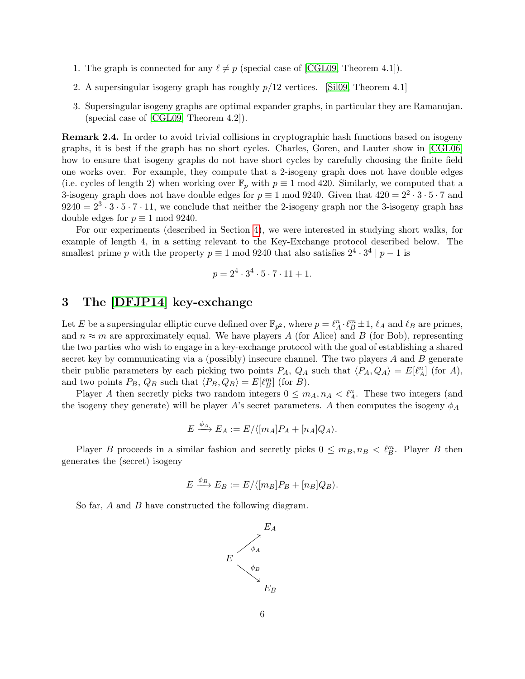- 1. The graph is connected for any  $\ell \neq p$  (special case of [\[CGL09,](#page-31-4) Theorem 4.1]).
- 2. A supersingular isogeny graph has roughly  $p/12$  vertices. [\[Sil09,](#page-32-5) Theorem 4.1]
- 3. Supersingular isogeny graphs are optimal expander graphs, in particular they are Ramanujan. (special case of [\[CGL09,](#page-31-4) Theorem 4.2]).

Remark 2.4. In order to avoid trivial collisions in cryptographic hash functions based on isogeny graphs, it is best if the graph has no short cycles. Charles, Goren, and Lauter show in [\[CGL06\]](#page-31-0) how to ensure that isogeny graphs do not have short cycles by carefully choosing the finite field one works over. For example, they compute that a 2-isogeny graph does not have double edges (i.e. cycles of length 2) when working over  $\mathbb{F}_p$  with  $p \equiv 1 \mod 420$ . Similarly, we computed that a 3-isogeny graph does not have double edges for  $p \equiv 1 \mod 9240$ . Given that  $420 = 2^2 \cdot 3 \cdot 5 \cdot 7$  and  $9240 = 2^3 \cdot 3 \cdot 5 \cdot 7 \cdot 11$ , we conclude that neither the 2-isogeny graph nor the 3-isogeny graph has double edges for  $p \equiv 1 \mod 9240$ .

For our experiments (described in Section [4\)](#page-8-1), we were interested in studying short walks, for example of length 4, in a setting relevant to the Key-Exchange protocol described below. The smallest prime p with the property  $p \equiv 1 \mod 9240$  that also satisfies  $2^4 \cdot 3^4 | p-1$  is

$$
p = 2^4 \cdot 3^4 \cdot 5 \cdot 7 \cdot 11 + 1.
$$

# 3 The [\[DFJP14\]](#page-31-2) key-exchange

Let E be a supersingular elliptic curve defined over  $\mathbb{F}_{p^2}$ , where  $p = \ell_A^n \cdot \ell_B^m \pm 1$ ,  $\ell_A$  and  $\ell_B$  are primes, and  $n \approx m$  are approximately equal. We have players A (for Alice) and B (for Bob), representing the two parties who wish to engage in a key-exchange protocol with the goal of establishing a shared secret key by communicating via a (possibly) insecure channel. The two players  $A$  and  $B$  generate their public parameters by each picking two points  $P_A$ ,  $Q_A$  such that  $\langle P_A, Q_A \rangle = E[\ell_A^n]$  (for A), and two points  $P_B$ ,  $Q_B$  such that  $\langle P_B, Q_B \rangle = E[\ell_B^m]$  (for  $B)$ .

Player A then secretly picks two random integers  $0 \leq m_A, n_A < \ell_A^n$ . These two integers (and the isogeny they generate) will be player A's secret parameters. A then computes the isogeny  $\phi_A$ 

$$
E \xrightarrow{\phi_A} E_A := E / \langle [m_A] P_A + [n_A] Q_A \rangle.
$$

Player B proceeds in a similar fashion and secretly picks  $0 \leq m_B, n_B < \ell_B^m$ . Player B then generates the (secret) isogeny

$$
E \xrightarrow{\phi_B} E_B := E / \langle [m_B] P_B + [n_B] Q_B \rangle.
$$

So far, A and B have constructed the following diagram.

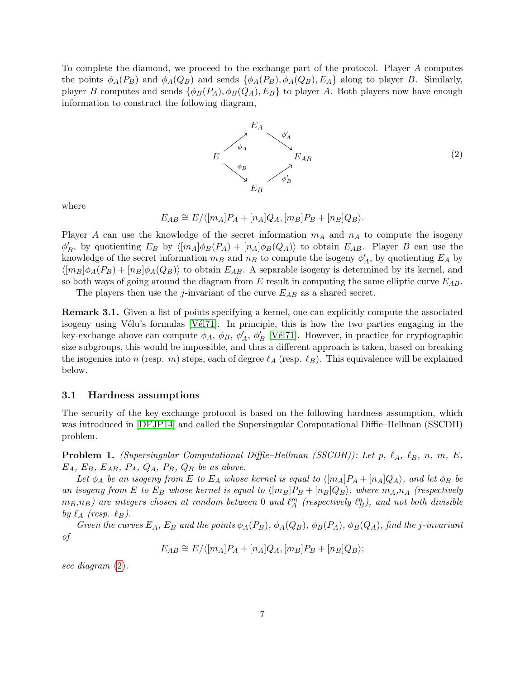To complete the diamond, we proceed to the exchange part of the protocol. Player A computes the points  $\phi_A(P_B)$  and  $\phi_A(Q_B)$  and sends  $\{\phi_A(P_B), \phi_A(Q_B), E_A\}$  along to player B. Similarly, player B computes and sends  $\{\phi_B(P_A), \phi_B(Q_A), E_B\}$  to player A. Both players now have enough information to construct the following diagram,

<span id="page-6-0"></span>

where

 $E_{AB} \cong E/ \langle [m_A]P_A + [n_A]Q_A, [m_B]P_B + [n_B]Q_B \rangle.$ 

Player A can use the knowledge of the secret information  $m_A$  and  $n_A$  to compute the isogeny  $\phi'_B$ , by quotienting  $E_B$  by  $\langle [m_A]\phi_B(P_A) + [n_A]\phi_B(Q_A)\rangle$  to obtain  $E_{AB}$ . Player B can use the knowledge of the secret information  $m_B$  and  $n_B$  to compute the isogeny  $\phi'_A$ , by quotienting  $E_A$  by  $\langle [m_B]\phi_A(P_B) + [n_B]\phi_A(Q_B)\rangle$  to obtain  $E_{AB}$ . A separable isogeny is determined by its kernel, and so both ways of going around the diagram from E result in computing the same elliptic curve  $E_{AB}$ .

The players then use the *j*-invariant of the curve  $E_{AB}$  as a shared secret.

Remark 3.1. Given a list of points specifying a kernel, one can explicitly compute the associated isogeny using Vélu's formulas  $[VE17]$ . In principle, this is how the two parties engaging in the key-exchange above can compute  $\phi_A$ ,  $\phi_B$ ,  $\phi'_A$ ,  $\phi'_B$  [Vél71]. However, in practice for cryptographic size subgroups, this would be impossible, and thus a different approach is taken, based on breaking the isogenies into n (resp. m) steps, each of degree  $\ell_A$  (resp.  $\ell_B$ ). This equivalence will be explained below.

#### 3.1 Hardness assumptions

The security of the key-exchange protocol is based on the following hardness assumption, which was introduced in [\[DFJP14\]](#page-31-2) and called the Supersingular Computational Diffie–Hellman (SSCDH) problem.

<span id="page-6-1"></span>**Problem 1.** (Supersingular Computational Diffie–Hellman (SSCDH)): Let p,  $\ell_A$ ,  $\ell_B$ , n, m, E,  $E_A$ ,  $E_B$ ,  $E_{AB}$ ,  $P_A$ ,  $Q_A$ ,  $P_B$ ,  $Q_B$  be as above.

Let  $\phi_A$  be an isogeny from E to  $E_A$  whose kernel is equal to  $\langle [m_A]P_A + [n_A]Q_A \rangle$ , and let  $\phi_B$  be an isogeny from E to  $E_B$  whose kernel is equal to  $\langle [m_B]P_B + [n_B]Q_B \rangle$ , where  $m_A,n_A$  (respectively  $(m_B, n_B)$  are integers chosen at random between 0 and  $\ell_A^m$  (respectively  $\ell_B^n$ ), and not both divisible by  $\ell_A$  (resp.  $\ell_B$ ).

Given the curves  $E_A$ ,  $E_B$  and the points  $\phi_A(P_B)$ ,  $\phi_A(Q_B)$ ,  $\phi_B(P_A)$ ,  $\phi_B(Q_A)$ , find the j-invariant of

$$
E_{AB} \cong E/\langle [m_A]P_A + [n_A]Q_A, [m_B]P_B + [n_B]Q_B \rangle;
$$

see diagram [\(2\)](#page-6-0).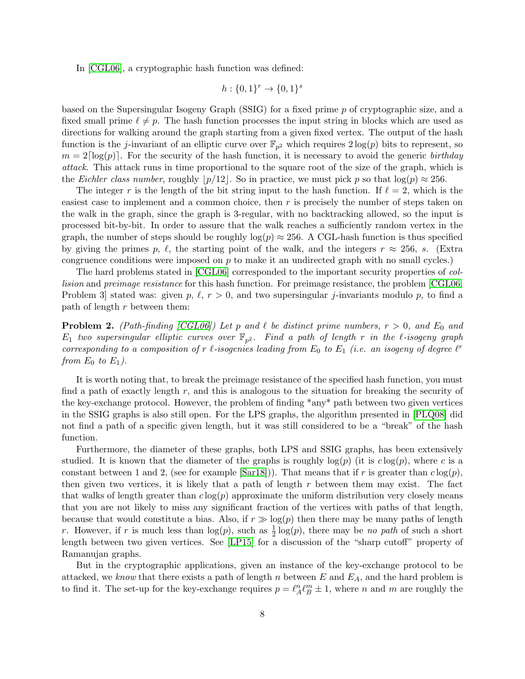In [\[CGL06\]](#page-31-0), a cryptographic hash function was defined:

$$
h: \{0, 1\}^r \to \{0, 1\}^s
$$

based on the Supersingular Isogeny Graph (SSIG) for a fixed prime p of cryptographic size, and a fixed small prime  $\ell \neq p$ . The hash function processes the input string in blocks which are used as directions for walking around the graph starting from a given fixed vertex. The output of the hash function is the *j*-invariant of an elliptic curve over  $\mathbb{F}_{p^2}$  which requires  $2\log(p)$  bits to represent, so  $m = 2\lceil \log(p) \rceil$ . For the security of the hash function, it is necessary to avoid the generic birthday attack. This attack runs in time proportional to the square root of the size of the graph, which is the Eichler class number, roughly  $\vert p/12 \vert$ . So in practice, we must pick p so that  $\log(p) \approx 256$ .

The integer r is the length of the bit string input to the hash function. If  $\ell = 2$ , which is the easiest case to implement and a common choice, then  $r$  is precisely the number of steps taken on the walk in the graph, since the graph is 3-regular, with no backtracking allowed, so the input is processed bit-by-bit. In order to assure that the walk reaches a sufficiently random vertex in the graph, the number of steps should be roughly  $log(p) \approx 256$ . A CGL-hash function is thus specified by giving the primes p,  $\ell$ , the starting point of the walk, and the integers  $r \approx 256$ , s. (Extra congruence conditions were imposed on  $p$  to make it an undirected graph with no small cycles.)

The hard problems stated in [\[CGL06\]](#page-31-0) corresponded to the important security properties of collision and preimage resistance for this hash function. For preimage resistance, the problem [\[CGL06,](#page-31-0) Problem 3 stated was: given p,  $\ell, r > 0$ , and two supersingular j-invariants modulo p, to find a path of length  $r$  between them:

<span id="page-7-0"></span>**Problem 2.** (Path-finding [\[CGL06\]](#page-31-0)) Let p and  $\ell$  be distinct prime numbers,  $r > 0$ , and  $E_0$  and  $E_1$  two supersingular elliptic curves over  $\mathbb{F}_{p^2}$ . Find a path of length r in the  $\ell$ -isogeny graph corresponding to a composition of r  $\ell$ -isogenies leading from  $E_0$  to  $E_1$  (i.e. an isogeny of degree  $\ell^r$ from  $E_0$  to  $E_1$ ).

It is worth noting that, to break the preimage resistance of the specified hash function, you must find a path of exactly length  $r$ , and this is analogous to the situation for breaking the security of the key-exchange protocol. However, the problem of finding \*any\* path between two given vertices in the SSIG graphs is also still open. For the LPS graphs, the algorithm presented in [\[PLQ08\]](#page-32-3) did not find a path of a specific given length, but it was still considered to be a "break" of the hash function.

Furthermore, the diameter of these graphs, both LPS and SSIG graphs, has been extensively studied. It is known that the diameter of the graphs is roughly  $log(p)$  (it is  $c log(p)$ , where c is a constant between 1 and 2, (see for example  $(Sar18)$ ). That means that if r is greater than  $c \log(p)$ , then given two vertices, it is likely that a path of length  $r$  between them may exist. The fact that walks of length greater than  $c \log(p)$  approximate the uniform distribution very closely means that you are not likely to miss any significant fraction of the vertices with paths of that length, because that would constitute a bias. Also, if  $r \gg \log(p)$  then there may be many paths of length r. However, if r is much less than  $log(p)$ , such as  $\frac{1}{2}log(p)$ , there may be no path of such a short length between two given vertices. See [\[LP15\]](#page-31-5) for a discussion of the "sharp cutoff" property of Ramanujan graphs.

But in the cryptographic applications, given an instance of the key-exchange protocol to be attacked, we know that there exists a path of length n between E and  $E_A$ , and the hard problem is to find it. The set-up for the key-exchange requires  $p = \ell_A^n \ell_B^m \pm 1$ , where n and m are roughly the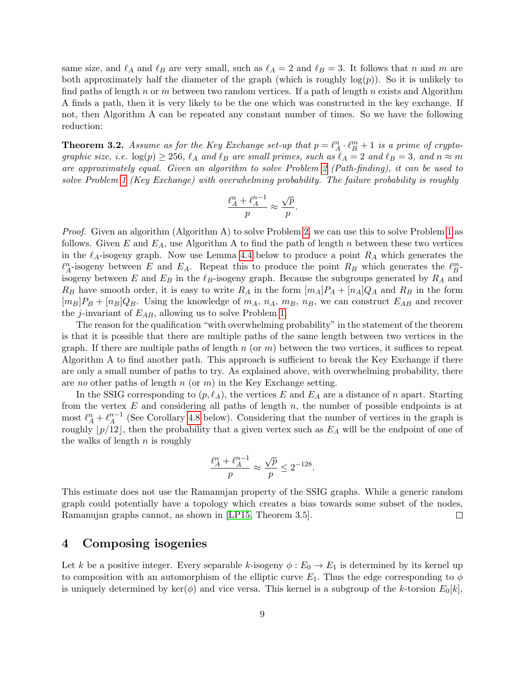same size, and  $\ell_A$  and  $\ell_B$  are very small, such as  $\ell_A = 2$  and  $\ell_B = 3$ . It follows that n and m are both approximately half the diameter of the graph (which is roughly  $log(p)$ ). So it is unlikely to find paths of length n or m between two random vertices. If a path of length n exists and Algorithm A finds a path, then it is very likely to be the one which was constructed in the key exchange. If not, then Algorithm A can be repeated any constant number of times. So we have the following reduction:

<span id="page-8-0"></span>**Theorem 3.2.** Assume as for the Key Exchange set-up that  $p = \ell_A^n \cdot \ell_B^m + 1$  is a prime of cryptographic size, i.e.  $\log(p) \geq 256$ ,  $\ell_A$  and  $\ell_B$  are small primes, such as  $\ell_A = 2$  and  $\ell_B = 3$ , and  $n \approx m$ are approximately equal. Given an algorithm to solve Problem [2](#page-7-0) (Path-finding), it can be used to solve Problem [1](#page-6-1) (Key Exchange) with overwhelming probability. The failure probability is roughly

$$
\frac{\ell_A^n + \ell_A^{n-1}}{p} \approx \frac{\sqrt{p}}{p}.
$$

Proof. Given an algorithm (Algorithm A) to solve Problem [2,](#page-7-0) we can use this to solve Problem [1](#page-6-1) as follows. Given E and  $E_A$ , use Algorithm A to find the path of length n between these two vertices in the  $\ell_A$ -isogeny graph. Now use Lemma [4.4](#page-10-0) below to produce a point  $R_A$  which generates the  $\ell_A^n$ -isogeny between E and E<sub>A</sub>. Repeat this to produce the point R<sub>B</sub> which generates the  $\ell_B^m$ isogeny between E and  $E_B$  in the  $\ell_B$ -isogeny graph. Because the subgroups generated by  $R_A$  and  $R_B$  have smooth order, it is easy to write  $R_A$  in the form  $[m_A]P_A + [n_A]Q_A$  and  $R_B$  in the form  $[m_B]P_B + [n_B]Q_B$ . Using the knowledge of  $m_A$ ,  $n_A$ ,  $m_B$ ,  $n_B$ , we can construct  $E_{AB}$  and recover the *j*-invariant of  $E_{AB}$ , allowing us to solve Problem [1.](#page-6-1)

The reason for the qualification "with overwhelming probability" in the statement of the theorem is that it is possible that there are multiple paths of the same length between two vertices in the graph. If there are multiple paths of length  $n$  (or  $m$ ) between the two vertices, it suffices to repeat Algorithm A to find another path. This approach is sufficient to break the Key Exchange if there are only a small number of paths to try. As explained above, with overwhelming probability, there are no other paths of length  $n$  (or  $m$ ) in the Key Exchange setting.

In the SSIG corresponding to  $(p, \ell_A)$ , the vertices E and  $E_A$  are a distance of n apart. Starting from the vertex  $E$  and considering all paths of length  $n$ , the number of possible endpoints is at most  $\ell_A^n + \ell_A^{n-1}$  $_{A}^{n-1}$  (See Corollary [4.8](#page-11-1) below). Considering that the number of vertices in the graph is roughly  $\lfloor p/12 \rfloor$ , then the probability that a given vertex such as  $E_A$  will be the endpoint of one of the walks of length  $n$  is roughly

$$
\frac{\ell_A^n + \ell_A^{n-1}}{p} \approx \frac{\sqrt{p}}{p} \le 2^{-128}.
$$

This estimate does not use the Ramanujan property of the SSIG graphs. While a generic random graph could potentially have a topology which creates a bias towards some subset of the nodes, Ramanujan graphs cannot, as shown in [\[LP15,](#page-31-5) Theorem 3.5].  $\Box$ 

## <span id="page-8-1"></span>4 Composing isogenies

Let k be a positive integer. Every separable k-isogeny  $\phi : E_0 \to E_1$  is determined by its kernel up to composition with an automorphism of the elliptic curve  $E_1$ . Thus the edge corresponding to  $\phi$ is uniquely determined by ker( $\phi$ ) and vice versa. This kernel is a subgroup of the k-torsion  $E_0[k]$ ,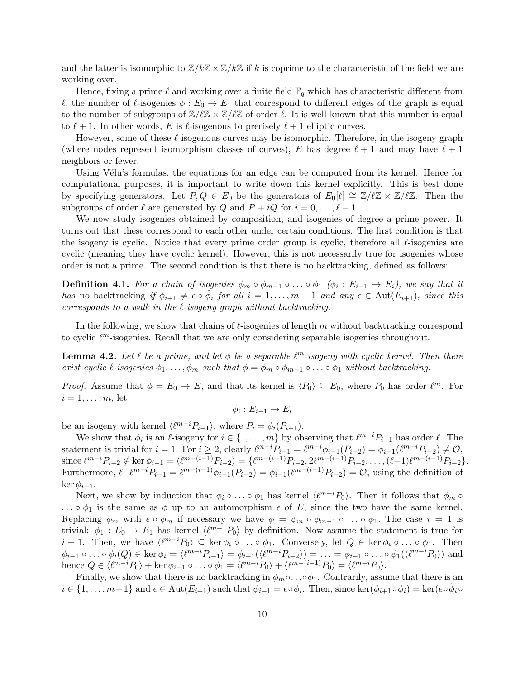and the latter is isomorphic to  $\mathbb{Z}/k\mathbb{Z} \times \mathbb{Z}/k\mathbb{Z}$  if k is coprime to the characteristic of the field we are working over.

Hence, fixing a prime  $\ell$  and working over a finite field  $\mathbb{F}_q$  which has characteristic different from  $\ell$ , the number of  $\ell$ -isogenies  $\phi : E_0 \to E_1$  that correspond to different edges of the graph is equal to the number of subgroups of  $\mathbb{Z}/\ell\mathbb{Z} \times \mathbb{Z}/\ell\mathbb{Z}$  of order  $\ell$ . It is well known that this number is equal to  $\ell + 1$ . In other words, E is  $\ell$ -isogenous to precisely  $\ell + 1$  elliptic curves.

However, some of these  $\ell$ -isogenous curves may be isomorphic. Therefore, in the isogeny graph (where nodes represent isomorphism classes of curves), E has degree  $\ell + 1$  and may have  $\ell + 1$ neighbors or fewer.

Using Vélu's formulas, the equations for an edge can be computed from its kernel. Hence for computational purposes, it is important to write down this kernel explicitly. This is best done by specifying generators. Let  $P, Q \in E_0$  be the generators of  $E_0[\ell] \cong \mathbb{Z}/\ell\mathbb{Z} \times \mathbb{Z}/\ell\mathbb{Z}$ . Then the subgroups of order  $\ell$  are generated by Q and  $P + iQ$  for  $i = 0, \ldots, \ell - 1$ .

We now study isogenies obtained by composition, and isogenies of degree a prime power. It turns out that these correspond to each other under certain conditions. The first condition is that the isogeny is cyclic. Notice that every prime order group is cyclic, therefore all  $\ell$ -isogenies are cyclic (meaning they have cyclic kernel). However, this is not necessarily true for isogenies whose order is not a prime. The second condition is that there is no backtracking, defined as follows:

**Definition 4.1.** For a chain of isogenies  $\phi_m \circ \phi_{m-1} \circ \ldots \circ \phi_1$  ( $\phi_i : E_{i-1} \to E_i$ ), we say that it has no backtracking if  $\phi_{i+1} \neq \epsilon \circ \widetilde{\phi}_i$  for all  $i = 1, \ldots, m-1$  and any  $\epsilon \in \text{Aut}(E_{i+1}),$  since this corresponds to a walk in the  $\ell$ -isogeny graph without backtracking.

In the following, we show that chains of  $\ell$ -isogenies of length m without backtracking correspond to cyclic  $\ell^m$ -isogenies. Recall that we are only considering separable isogenies throughout.

<span id="page-9-0"></span>**Lemma 4.2.** Let  $\ell$  be a prime, and let  $\phi$  be a separable  $\ell^m$ -isogeny with cyclic kernel. Then there exist cyclic  $\ell$ -isogenies  $\phi_1, \ldots, \phi_m$  such that  $\phi = \phi_m \circ \phi_{m-1} \circ \ldots \circ \phi_1$  without backtracking.

*Proof.* Assume that  $\phi = E_0 \to E$ , and that its kernel is  $\langle P_0 \rangle \subseteq E_0$ , where  $P_0$  has order  $\ell^m$ . For  $i=1,\ldots,m$ , let

 $\phi_i: E_{i-1} \to E_i$ 

be an isogeny with kernel  $\langle \ell^{m-i}P_{i-1} \rangle$ , where  $P_i = \phi_i(P_{i-1})$ .

We show that  $\phi_i$  is an  $\ell$ -isogeny for  $i \in \{1, \ldots, m\}$  by observing that  $\ell^{m-i}P_{i-1}$  has order  $\ell$ . The statement is trivial for  $i = 1$ . For  $i \geq 2$ , clearly  $\ell^{m-i} P_{i-1} = \ell^{m-i} \phi_{i-1}(P_{i-2}) = \phi_{i-1}(\ell^{m-i} P_{i-2}) \neq \mathcal{O}$ , since  $\ell^{m-i}P_{i-2} \notin \text{ker } \phi_{i-1} = \langle \ell^{m-(i-1)}P_{i-2} \rangle = \{ \ell^{m-(i-1)}P_{i-2}, 2\ell^{m-(i-1)}P_{i-2}, \dots, (\ell-1)\ell^{m-(i-1)}P_{i-2} \}.$ Furthermore,  $\ell \cdot \ell^{m-i} P_{i-1} = \ell^{m-(i-1)} \phi_{i-1}(P_{i-2}) = \phi_{i-1}(\ell^{m-(i-1)} P_{i-2}) = \mathcal{O}$ , using the definition of ker  $\phi_{i-1}$ .

Next, we show by induction that  $\phi_i \circ \ldots \circ \phi_1$  has kernel  $\langle \ell^{m-i}P_0 \rangle$ . Then it follows that  $\phi_m \circ$ ...  $\circ \phi_1$  is the same as  $\phi$  up to an automorphism  $\epsilon$  of E, since the two have the same kernel. Replacing  $\phi_m$  with  $\epsilon \circ \phi_m$  if necessary we have  $\phi = \phi_m \circ \phi_{m-1} \circ \ldots \circ \phi_1$ . The case  $i = 1$  is trivial:  $\phi_1 : E_0 \to E_1$  has kernel  $\langle \ell^{m-1}P_0 \rangle$  by definition. Now assume the statement is true for  $i-1$ . Then, we have  $\langle \ell^{m-i}P_0 \rangle \subseteq \ker \phi_i \circ \ldots \circ \phi_1$ . Conversely, let  $Q \in \ker \phi_i \circ \ldots \circ \phi_1$ . Then  $\phi_{i-1} \circ \ldots \circ \phi_i(Q) \in \ker \phi_i = \langle \ell^{m-i} P_{i-1} \rangle = \phi_{i-1}(\langle \ell^{m-i} P_{i-2} \rangle) = \ldots = \phi_{i-1} \circ \ldots \circ \phi_1(\langle \ell^{m-i} P_0 \rangle)$  and hence  $Q \in \langle \ell^{m-i}P_0 \rangle + \ker \phi_{i-1} \circ \ldots \circ \phi_1 = \langle \ell^{m-i}P_0 \rangle + \langle \ell^{m-(i-1)}P_0 \rangle = \langle \ell^{m-i}P_0 \rangle$ .

Finally, we show that there is no backtracking in  $\phi_m \circ \dots \circ \phi_1$ . Contrarily, assume that there is an  $i \in \{1, \ldots, m-1\}$  and  $\epsilon \in \text{Aut}(E_{i+1})$  such that  $\phi_{i+1} = \epsilon \circ \hat{\phi}_i$ . Then, since  $\ker(\phi_{i+1} \circ \phi_i) = \ker(\epsilon \circ \hat{\phi}_i \circ \phi_i)$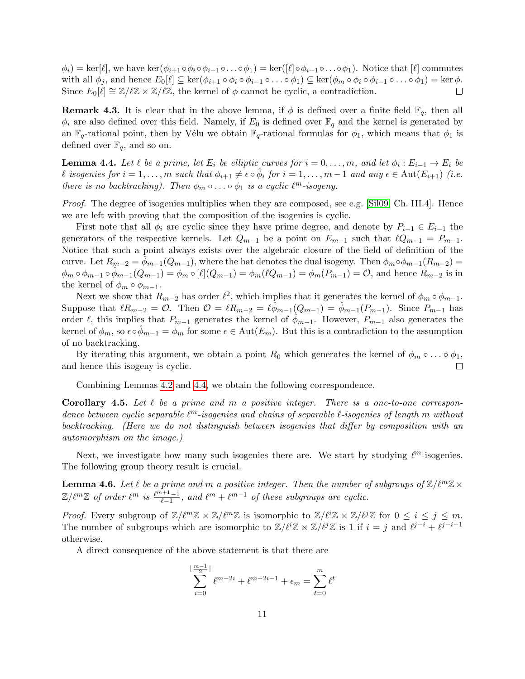$\phi_i) = \ker[\ell],$  we have  $\ker(\phi_{i+1} \circ \phi_i \circ \phi_{i-1} \circ \ldots \circ \phi_1) = \ker([\ell] \circ \phi_{i-1} \circ \ldots \circ \phi_1).$  Notice that  $[\ell]$  commutes with all  $\phi_i$ , and hence  $E_0[\ell] \subseteq \ker(\phi_{i+1} \circ \phi_i \circ \phi_{i-1} \circ \ldots \circ \phi_1) \subseteq \ker(\phi_m \circ \phi_i \circ \phi_{i-1} \circ \ldots \circ \phi_1) = \ker \phi$ . Since  $E_0[\ell] \cong \mathbb{Z}/\ell\mathbb{Z} \times \mathbb{Z}/\ell\mathbb{Z}$ , the kernel of  $\phi$  cannot be cyclic, a contradiction.  $\Box$ 

**Remark 4.3.** It is clear that in the above lemma, if  $\phi$  is defined over a finite field  $\mathbb{F}_q$ , then all  $\phi_i$  are also defined over this field. Namely, if  $E_0$  is defined over  $\mathbb{F}_q$  and the kernel is generated by an  $\mathbb{F}_q$ -rational point, then by Vélu we obtain  $\mathbb{F}_q$ -rational formulas for  $\phi_1$ , which means that  $\phi_1$  is defined over  $\mathbb{F}_q$ , and so on.

<span id="page-10-0"></span>**Lemma 4.4.** Let  $\ell$  be a prime, let  $E_i$  be elliptic curves for  $i = 0, \ldots, m$ , and let  $\phi_i : E_{i-1} \to E_i$  be  $\ell$ -isogenies for  $i = 1, ..., m$  such that  $\phi_{i+1} \neq \epsilon \circ \hat{\phi}_i$  for  $i = 1, ..., m-1$  and any  $\epsilon \in \text{Aut}(E_{i+1})$  (i.e. there is no backtracking). Then  $\phi_m \circ \ldots \circ \phi_1$  is a cyclic  $\ell^m$ -isogeny.

Proof. The degree of isogenies multiplies when they are composed, see e.g. [\[Sil09,](#page-32-5) Ch. III.4]. Hence we are left with proving that the composition of the isogenies is cyclic.

First note that all  $\phi_i$  are cyclic since they have prime degree, and denote by  $P_{i-1} \in E_{i-1}$  the generators of the respective kernels. Let  $Q_{m-1}$  be a point on  $E_{m-1}$  such that  $\ell Q_{m-1} = P_{m-1}$ . Notice that such a point always exists over the algebraic closure of the field of definition of the curve. Let  $R_{m-2} = \phi_{m-1}(Q_{m-1})$ , where the hat denotes the dual isogeny. Then  $\phi_m \circ \phi_{m-1}(R_{m-2}) =$  $\phi_m \circ \phi_{m-1} \circ \phi_{m-1}(Q_{m-1}) = \phi_m \circ [\ell](Q_{m-1}) = \phi_m(\ell Q_{m-1}) = \phi_m(P_{m-1}) = \mathcal{O}$ , and hence  $R_{m-2}$  is in the kernel of  $\phi_m \circ \phi_{m-1}$ .

Next we show that  $R_{m-2}$  has order  $\ell^2$ , which implies that it generates the kernel of  $\phi_m \circ \phi_{m-1}$ . Suppose that  $\ell R_{m-2} = \mathcal{O}$ . Then  $\mathcal{O} = \ell R_{m-2} = \ell \phi_{m-1}(Q_{m-1}) = \phi_{m-1}(P_{m-1})$ . Since  $P_{m-1}$  has order  $\ell$ , this implies that  $P_{m-1}$  generates the kernel of  $\phi_{m-1}$ . However,  $P_{m-1}$  also generates the kernel of  $\phi_m$ , so  $\epsilon \circ \phi_{m-1} = \phi_m$  for some  $\epsilon \in \text{Aut}(E_m)$ . But this is a contradiction to the assumption of no backtracking.

By iterating this argument, we obtain a point  $R_0$  which generates the kernel of  $\phi_m \circ \dots \circ \phi_1$ , and hence this isogeny is cyclic.  $\Box$ 

Combining Lemmas [4.2](#page-9-0) and [4.4,](#page-10-0) we obtain the following correspondence.

<span id="page-10-1"></span>**Corollary 4.5.** Let  $\ell$  be a prime and m a positive integer. There is a one-to-one correspondence between cyclic separable  $\ell^m$ -isogenies and chains of separable  $\ell$ -isogenies of length m without backtracking. (Here we do not distinguish between isogenies that differ by composition with an automorphism on the image.)

Next, we investigate how many such isogenies there are. We start by studying  $\ell^m$ -isogenies. The following group theory result is crucial.

**Lemma 4.6.** Let  $\ell$  be a prime and m a positive integer. Then the number of subgroups of  $\mathbb{Z}/\ell^m\mathbb{Z}\times\mathbb{Z}$  $\mathbb{Z}/\ell^m\mathbb{Z}$  of order  $\ell^m$  is  $\frac{\ell^{m+1}-1}{\ell-1}$ , and  $\ell^m + \ell^{m-1}$  of these subgroups are cyclic.

*Proof.* Every subgroup of  $\mathbb{Z}/\ell^m\mathbb{Z} \times \mathbb{Z}/\ell^m\mathbb{Z}$  is isomorphic to  $\mathbb{Z}/\ell^i\mathbb{Z} \times \mathbb{Z}/\ell^j\mathbb{Z}$  for  $0 \leq i \leq j \leq m$ . The number of subgroups which are isomorphic to  $\mathbb{Z}/\ell^i\mathbb{Z} \times \mathbb{Z}/\ell^j\mathbb{Z}$  is 1 if  $i = j$  and  $\ell^{j-i} + \ell^{j-i-1}$ otherwise.

A direct consequence of the above statement is that there are

$$
\sum_{i=0}^{\lfloor \frac{m-1}{2} \rfloor} \ell^{m-2i} + \ell^{m-2i-1} + \epsilon_m = \sum_{t=0}^m \ell^t
$$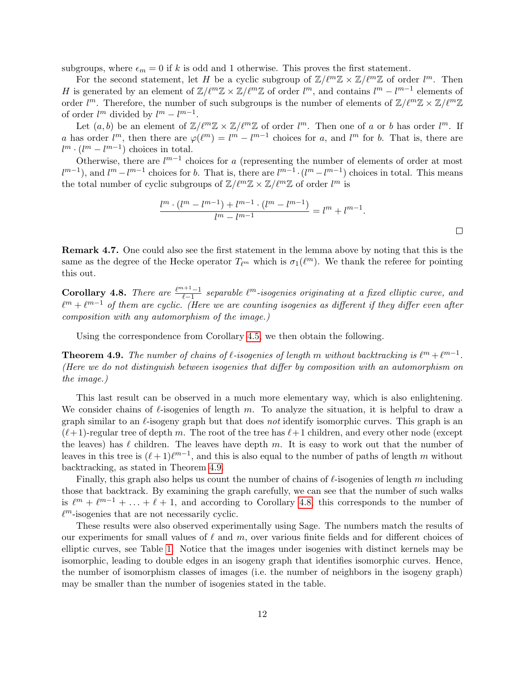subgroups, where  $\epsilon_m = 0$  if k is odd and 1 otherwise. This proves the first statement.

For the second statement, let H be a cyclic subgroup of  $\mathbb{Z}/\ell^m\mathbb{Z} \times \mathbb{Z}/\ell^m\mathbb{Z}$  of order  $l^m$ . Then H is generated by an element of  $\mathbb{Z}/\ell^m\mathbb{Z} \times \mathbb{Z}/\ell^m\mathbb{Z}$  of order  $l^m$ , and contains  $l^m - l^{m-1}$  elements of order  $l^m$ . Therefore, the number of such subgroups is the number of elements of  $\mathbb{Z}/\ell^m\mathbb{Z} \times \mathbb{Z}/\ell^m\mathbb{Z}$ of order  $l^m$  divided by  $l^m - l^{m-1}$ .

Let  $(a, b)$  be an element of  $\mathbb{Z}/\ell^m\mathbb{Z} \times \mathbb{Z}/\ell^m\mathbb{Z}$  of order  $l^m$ . Then one of a or b has order  $l^m$ . If a has order  $l^m$ , then there are  $\varphi(\ell^m) = l^m - l^{m-1}$  choices for a, and  $l^m$  for b. That is, there are  $l^m \cdot (l^m - l^{m-1})$  choices in total.

Otherwise, there are  $l^{m-1}$  choices for a (representing the number of elements of order at most  $l^{m-1}$ , and  $l^m - l^{m-1}$  choices for b. That is, there are  $l^{m-1} \cdot (l^m - l^{m-1})$  choices in total. This means the total number of cyclic subgroups of  $\mathbb{Z}/\ell^m\mathbb{Z} \times \mathbb{Z}/\ell^m\mathbb{Z}$  of order  $l^m$  is

$$
\frac{l^{m} \cdot (l^{m} - l^{m-1}) + l^{m-1} \cdot (l^{m} - l^{m-1})}{l^{m} - l^{m-1}} = l^{m} + l^{m-1}.
$$

Remark 4.7. One could also see the first statement in the lemma above by noting that this is the same as the degree of the Hecke operator  $T_{\ell^m}$  which is  $\sigma_1(\ell^m)$ . We thank the referee for pointing this out.

<span id="page-11-1"></span>**Corollary 4.8.** There are  $\frac{\ell^{m+1}-1}{\ell-1}$  separable  $\ell^m$ -isogenies originating at a fixed elliptic curve, and  $\ell^m + \ell^{m-1}$  of them are cyclic. (Here we are counting isogenies as different if they differ even after composition with any automorphism of the image.)

Using the correspondence from Corollary [4.5,](#page-10-1) we then obtain the following.

<span id="page-11-0"></span>**Theorem 4.9.** The number of chains of  $\ell$ -isogenies of length m without backtracking is  $\ell^m + \ell^{m-1}$ . (Here we do not distinguish between isogenies that differ by composition with an automorphism on the image.)

This last result can be observed in a much more elementary way, which is also enlightening. We consider chains of  $\ell$ -isogenies of length m. To analyze the situation, it is helpful to draw a graph similar to an  $\ell$ -isogeny graph but that does not identify isomorphic curves. This graph is an  $(\ell+1)$ -regular tree of depth m. The root of the tree has  $\ell+1$  children, and every other node (except the leaves) has  $\ell$  children. The leaves have depth m. It is easy to work out that the number of leaves in this tree is  $(\ell + 1)\ell^{m-1}$ , and this is also equal to the number of paths of length m without backtracking, as stated in Theorem [4.9.](#page-11-0)

Finally, this graph also helps us count the number of chains of  $\ell$ -isogenies of length m including those that backtrack. By examining the graph carefully, we can see that the number of such walks is  $\ell^m + \ell^{m-1} + \ldots + \ell + 1$ , and according to Corollary [4.8,](#page-11-1) this corresponds to the number of  $\ell^m$ -isogenies that are not necessarily cyclic.

These results were also observed experimentally using Sage. The numbers match the results of our experiments for small values of  $\ell$  and m, over various finite fields and for different choices of elliptic curves, see Table [1.](#page-12-1) Notice that the images under isogenies with distinct kernels may be isomorphic, leading to double edges in an isogeny graph that identifies isomorphic curves. Hence, the number of isomorphism classes of images (i.e. the number of neighbors in the isogeny graph) may be smaller than the number of isogenies stated in the table.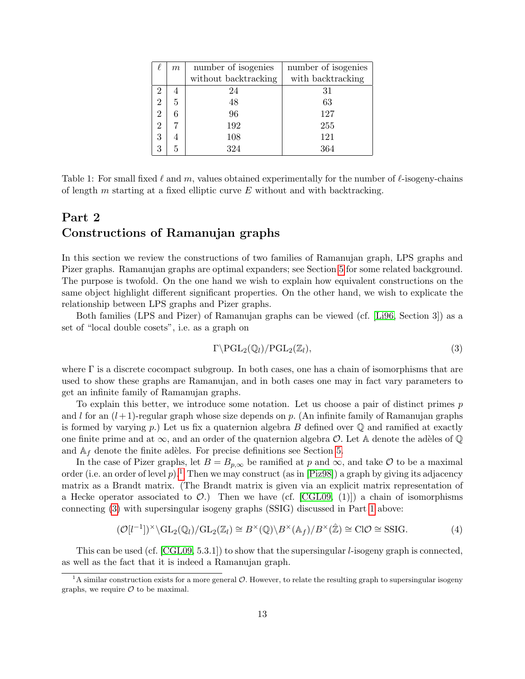|                | m | number of isogenies  | number of isogenies |
|----------------|---|----------------------|---------------------|
|                |   | without backtracking | with backtracking   |
|                | 4 | 24                   | 31                  |
| $\overline{2}$ | 5 | 48                   | 63                  |
| 2              | 6 | 96                   | 127                 |
|                |   | 192                  | 255                 |
| 3              | 4 | 108                  | 121                 |
| 3              | 5 | 324                  | 364                 |

<span id="page-12-1"></span>Table 1: For small fixed  $\ell$  and m, values obtained experimentally for the number of  $\ell$ -isogeny-chains of length  $m$  starting at a fixed elliptic curve  $E$  without and with backtracking.

# <span id="page-12-0"></span>Part 2 Constructions of Ramanujan graphs

In this section we review the constructions of two families of Ramanujan graph, LPS graphs and Pizer graphs. Ramanujan graphs are optimal expanders; see Section [5](#page-14-0) for some related background. The purpose is twofold. On the one hand we wish to explain how equivalent constructions on the same object highlight different significant properties. On the other hand, we wish to explicate the relationship between LPS graphs and Pizer graphs.

Both families (LPS and Pizer) of Ramanujan graphs can be viewed (cf. [\[Li96,](#page-31-6) Section 3]) as a set of "local double cosets", i.e. as a graph on

<span id="page-12-3"></span>
$$
\Gamma \backslash \mathrm{PGL}_2(\mathbb{Q}_l)/\mathrm{PGL}_2(\mathbb{Z}_l),\tag{3}
$$

where  $\Gamma$  is a discrete cocompact subgroup. In both cases, one has a chain of isomorphisms that are used to show these graphs are Ramanujan, and in both cases one may in fact vary parameters to get an infinite family of Ramanujan graphs.

To explain this better, we introduce some notation. Let us choose a pair of distinct primes p and l for an  $(l+1)$ -regular graph whose size depends on p. (An infinite family of Ramanujan graphs is formed by varying p.) Let us fix a quaternion algebra B defined over  $\mathbb Q$  and ramified at exactly one finite prime and at  $\infty$ , and an order of the quaternion algebra  $\mathcal O$ . Let A denote the adèles of  $\mathbb Q$ and  $A_f$  denote the finite adèles. For precise definitions see Section [5.](#page-14-0)

In the case of Pizer graphs, let  $B = B_{p,\infty}$  be ramified at p and  $\infty$ , and take O to be a maximal order (i.e. an order of level p).<sup>[1](#page-12-2)</sup> Then we may construct (as in [\[Piz98\]](#page-32-1)) a graph by giving its adjacency matrix as a Brandt matrix. (The Brandt matrix is given via an explicit matrix representation of a Hecke operator associated to  $\mathcal{O}$ .) Then we have (cf. [\[CGL09,](#page-31-4) (1)]) a chain of isomorphisms connecting [\(3\)](#page-12-3) with supersingular isogeny graphs (SSIG) discussed in Part [1](#page-2-0) above:

<span id="page-12-4"></span>
$$
(\mathcal{O}[l^{-1}])^{\times} \backslash \mathrm{GL}_2(\mathbb{Q}_l) / \mathrm{GL}_2(\mathbb{Z}_l) \cong B^{\times}(\mathbb{Q}) \backslash B^{\times}(\mathbb{A}_f) / B^{\times}(\hat{\mathbb{Z}}) \cong \mathrm{Cl}\mathcal{O} \cong \mathrm{SSIG}.
$$
 (4)

This can be used (cf. [\[CGL09,](#page-31-4) 5.3.1]) to show that the supersingular l-isogeny graph is connected, as well as the fact that it is indeed a Ramanujan graph.

<span id="page-12-2"></span><sup>&</sup>lt;sup>1</sup>A similar construction exists for a more general  $O$ . However, to relate the resulting graph to supersingular isogeny graphs, we require  $\mathcal O$  to be maximal.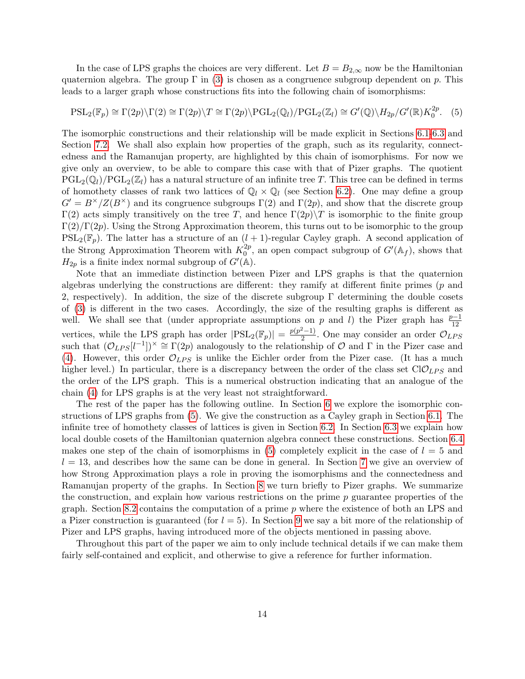In the case of LPS graphs the choices are very different. Let  $B = B_{2,\infty}$  now be the Hamiltonian quaternion algebra. The group  $\Gamma$  in [\(3\)](#page-12-3) is chosen as a congruence subgroup dependent on p. This leads to a larger graph whose constructions fits into the following chain of isomorphisms:

<span id="page-13-0"></span>
$$
\mathrm{PSL}_2(\mathbb{F}_p) \cong \Gamma(2p) \setminus \Gamma(2) \cong \Gamma(2p) \setminus T \cong \Gamma(2p) \setminus \mathrm{PGL}_2(\mathbb{Q}_l) / \mathrm{PGL}_2(\mathbb{Z}_l) \cong G'(\mathbb{Q}) \setminus H_{2p}/G'(\mathbb{R}) K_0^{2p}. \tag{5}
$$

The isomorphic constructions and their relationship will be made explicit in Sections [6.1-](#page-15-1)[6.3](#page-17-0) and Section [7.2.](#page-22-0) We shall also explain how properties of the graph, such as its regularity, connectedness and the Ramanujan property, are highlighted by this chain of isomorphisms. For now we give only an overview, to be able to compare this case with that of Pizer graphs. The quotient  $PGL_2(\mathbb{Q}_l)/PGL_2(\mathbb{Z}_l)$  has a natural structure of an infinite tree T. This tree can be defined in terms of homothety classes of rank two lattices of  $\mathbb{Q}_l \times \mathbb{Q}_l$  (see Section [6.2\)](#page-15-2). One may define a group  $G' = B^{\times}/Z(B^{\times})$  and its congruence subgroups  $\Gamma(2)$  and  $\Gamma(2p)$ , and show that the discrete group Γ(2) acts simply transitively on the tree T, and hence  $\Gamma(2p)\T$  is isomorphic to the finite group  $\Gamma(2)/\Gamma(2p)$ . Using the Strong Approximation theorem, this turns out to be isomorphic to the group  $PSL_2(\mathbb{F}_p)$ . The latter has a structure of an  $(l + 1)$ -regular Cayley graph. A second application of the Strong Approximation Theorem with  $K_0^{2p}$  $_{0}^{2p}$ , an open compact subgroup of  $G'(\mathbb{A}_{f})$ , shows that  $H_{2p}$  is a finite index normal subgroup of  $G'(\mathbb{A})$ .

Note that an immediate distinction between Pizer and LPS graphs is that the quaternion algebras underlying the constructions are different: they ramify at different finite primes (p and 2, respectively). In addition, the size of the discrete subgroup  $\Gamma$  determining the double cosets of [\(3\)](#page-12-3) is different in the two cases. Accordingly, the size of the resulting graphs is different as well. We shall see that (under appropriate assumptions on p and l) the Pizer graph has  $\frac{p-1}{12}$ 12 vertices, while the LPS graph has order  $|PSL_2(\mathbb{F}_p)| = \frac{p(p^2-1)}{2}$  $\frac{2^{n}-1}{2}$ . One may consider an order  $\mathcal{O}_{LPS}$ such that  $(\mathcal{O}_{LPS}[l^{-1}])^{\times} \cong \Gamma(2p)$  analogously to the relationship of  $\mathcal O$  and  $\Gamma$  in the Pizer case and [\(4\)](#page-12-4). However, this order  $\mathcal{O}_{LPS}$  is unlike the Eichler order from the Pizer case. (It has a much higher level.) In particular, there is a discrepancy between the order of the class set  $ClO_{LPS}$  and the order of the LPS graph. This is a numerical obstruction indicating that an analogue of the chain [\(4\)](#page-12-4) for LPS graphs is at the very least not straightforward.

The rest of the paper has the following outline. In Section [6](#page-15-0) we explore the isomorphic constructions of LPS graphs from [\(5\)](#page-13-0). We give the construction as a Cayley graph in Section [6.1.](#page-15-1) The infinite tree of homothety classes of lattices is given in Section [6.2.](#page-15-2) In Section [6.3](#page-17-0) we explain how local double cosets of the Hamiltonian quaternion algebra connect these constructions. Section [6.4](#page-18-0) makes one step of the chain of isomorphisms in  $(5)$  completely explicit in the case of  $l = 5$  and  $l = 13$ , and describes how the same can be done in general. In Section [7](#page-20-0) we give an overview of how Strong Approximation plays a role in proving the isomorphisms and the connectedness and Ramanujan property of the graphs. In Section [8](#page-25-0) we turn briefly to Pizer graphs. We summarize the construction, and explain how various restrictions on the prime  $p$  guarantee properties of the graph. Section [8.2](#page-27-0) contains the computation of a prime  $p$  where the existence of both an LPS and a Pizer construction is guaranteed (for  $l = 5$ ). In Section [9](#page-29-0) we say a bit more of the relationship of Pizer and LPS graphs, having introduced more of the objects mentioned in passing above.

Throughout this part of the paper we aim to only include technical details if we can make them fairly self-contained and explicit, and otherwise to give a reference for further information.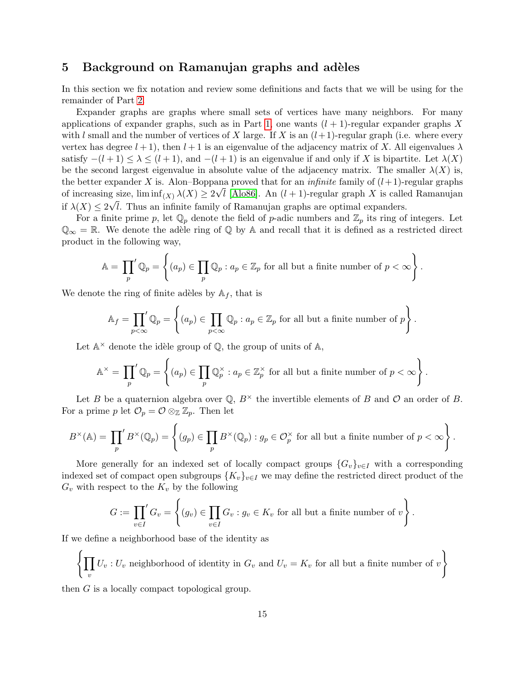### <span id="page-14-0"></span>5 Background on Ramanujan graphs and adèles

In this section we fix notation and review some definitions and facts that we will be using for the remainder of Part [2.](#page-12-0)

Expander graphs are graphs where small sets of vertices have many neighbors. For many applications of expander graphs, such as in Part [1,](#page-2-0) one wants  $(l + 1)$ -regular expander graphs X with l small and the number of vertices of X large. If X is an  $(l+1)$ -regular graph (i.e. where every vertex has degree  $l + 1$ , then  $l + 1$  is an eigenvalue of the adjacency matrix of X. All eigenvalues  $\lambda$ satisfy  $-(l+1) \leq \lambda \leq (l+1)$ , and  $-(l+1)$  is an eigenvalue if and only if X is bipartite. Let  $\lambda(X)$ be the second largest eigenvalue in absolute value of the adjacency matrix. The smaller  $\lambda(X)$  is, the better expander X is. Alon–Boppana proved that for an *infinite* family of  $(l+1)$ -regular graphs of increasing size,  $\liminf_{(X)} \lambda(X) \ge 2\sqrt{l}$  [\[Alo86\]](#page-31-7). An  $(l+1)$ -regular graph X is called Ramanujan if  $\lambda(X) \leq 2\sqrt{l}$ . Thus an infinite family of Ramanujan graphs are optimal expanders.

For a finite prime p, let  $\mathbb{Q}_p$  denote the field of p-adic numbers and  $\mathbb{Z}_p$  its ring of integers. Let  $\mathbb{Q}_{\infty} = \mathbb{R}$ . We denote the adèle ring of  $\mathbb{Q}$  by A and recall that it is defined as a restricted direct product in the following way,

$$
\mathbb{A} = \prod_{p} \mathbb{Q}_p = \left\{ (a_p) \in \prod_p \mathbb{Q}_p : a_p \in \mathbb{Z}_p \text{ for all but a finite number of } p < \infty \right\}.
$$

We denote the ring of finite adèles by  $A_f$ , that is

$$
\mathbb{A}_f = \prod_{p < \infty} \mathbb{Q}_p = \left\{ (a_p) \in \prod_{p < \infty} \mathbb{Q}_p : a_p \in \mathbb{Z}_p \text{ for all but a finite number of } p \right\}.
$$

Let  $\mathbb{A}^{\times}$  denote the idèle group of  $\mathbb{Q}$ , the group of units of  $\mathbb{A}$ ,

$$
\mathbb{A}^{\times} = \prod_{p} \mathbb{Q}_p = \left\{ (a_p) \in \prod_p \mathbb{Q}_p^{\times} : a_p \in \mathbb{Z}_p^{\times} \text{ for all but a finite number of } p < \infty \right\}.
$$

Let B be a quaternion algebra over  $\mathbb{Q}, B^{\times}$  the invertible elements of B and O an order of B. For a prime p let  $\mathcal{O}_p = \mathcal{O} \otimes_{\mathbb{Z}} \mathbb{Z}_p$ . Then let

$$
B^{\times}(\mathbb{A}) = \prod_{p} B^{\times}(\mathbb{Q}_p) = \left\{ (g_p) \in \prod_{p} B^{\times}(\mathbb{Q}_p) : g_p \in \mathcal{O}_p^{\times} \text{ for all but a finite number of } p < \infty \right\}.
$$

More generally for an indexed set of locally compact groups  ${G_v}_{v \in I}$  with a corresponding indexed set of compact open subgroups  $\{K_v\}_{v\in I}$  we may define the restricted direct product of the  $G_v$  with respect to the  $K_v$  by the following

$$
G := \prod_{v \in I}' G_v = \left\{ (g_v) \in \prod_{v \in I} G_v : g_v \in K_v \text{ for all but a finite number of } v \right\}.
$$

If we define a neighborhood base of the identity as

$$
\left\{\prod_v U_v : U_v \text{ neighborhood of identity in } G_v \text{ and } U_v = K_v \text{ for all but a finite number of } v \right\}
$$

 $\lambda$ 

then G is a locally compact topological group.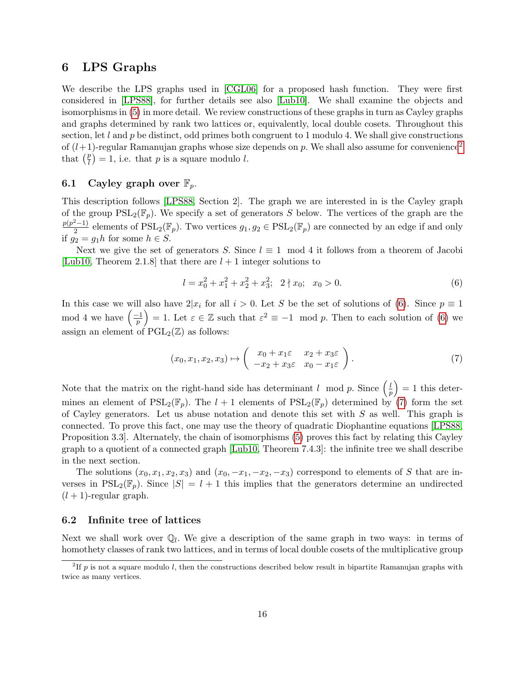### <span id="page-15-0"></span>6 LPS Graphs

We describe the LPS graphs used in [\[CGL06\]](#page-31-0) for a proposed hash function. They were first considered in [\[LPS88\]](#page-31-1), for further details see also [\[Lub10\]](#page-32-4). We shall examine the objects and isomorphisms in [\(5\)](#page-13-0) in more detail. We review constructions of these graphs in turn as Cayley graphs and graphs determined by rank two lattices or, equivalently, local double cosets. Throughout this section, let  $l$  and  $p$  be distinct, odd primes both congruent to 1 modulo 4. We shall give constructions of  $(l+1)$ -regular Ramanujan graphs whose size depends on p. We shall also assume for convenience<sup>[2](#page-15-3)</sup> that  $(\frac{p}{l})$  $\binom{p}{l} = 1$ , i.e. that p is a square modulo l.

#### <span id="page-15-1"></span>6.1 Cayley graph over  $\mathbb{F}_p$ .

This description follows [\[LPS88,](#page-31-1) Section 2]. The graph we are interested in is the Cayley graph of the group  $PSL_2(\mathbb{F}_p)$ . We specify a set of generators S below. The vertices of the graph are the  $p(p^2-1)$  $\frac{2^{2}-1}{2}$  elements of  $PSL_{2}(\mathbb{F}_{p})$ . Two vertices  $g_{1}, g_{2} \in PSL_{2}(\mathbb{F}_{p})$  are connected by an edge if and only if  $g_2 = g_1 h$  for some  $h \in S$ .

Next we give the set of generators S. Since  $l \equiv 1 \mod 4$  it follows from a theorem of Jacobi [\[Lub10,](#page-32-4) Theorem 2.1.8] that there are  $l + 1$  integer solutions to

<span id="page-15-4"></span>
$$
l = x_0^2 + x_1^2 + x_2^2 + x_3^2; \quad 2 \nmid x_0; \quad x_0 > 0. \tag{6}
$$

In this case we will also have  $2|x_i$  for all  $i > 0$ . Let S be the set of solutions of [\(6\)](#page-15-4). Since  $p \equiv 1$ mod 4 we have  $\left(\frac{-1}{n}\right)$  $\left(\frac{-1}{p}\right) = 1.$  Let  $\varepsilon \in \mathbb{Z}$  such that  $\varepsilon^2 \equiv -1 \mod p$ . Then to each solution of [\(6\)](#page-15-4) we assign an element of  $\mathrm{PGL}_2(\mathbb{Z})$  as follows:

<span id="page-15-5"></span>
$$
(x_0, x_1, x_2, x_3) \mapsto \begin{pmatrix} x_0 + x_1 \varepsilon & x_2 + x_3 \varepsilon \\ -x_2 + x_3 \varepsilon & x_0 - x_1 \varepsilon \end{pmatrix}.
$$
 (7)

Note that the matrix on the right-hand side has determinant l mod p. Since  $\left(\frac{l}{r}\right)$  $\left(\frac{l}{p}\right) = 1$  this determines an element of  $PSL_2(\mathbb{F}_p)$ . The  $l + 1$  elements of  $PSL_2(\mathbb{F}_p)$  determined by [\(7\)](#page-15-5) form the set of Cayley generators. Let us abuse notation and denote this set with S as well. This graph is connected. To prove this fact, one may use the theory of quadratic Diophantine equations [\[LPS88,](#page-31-1) Proposition 3.3]. Alternately, the chain of isomorphisms [\(5\)](#page-13-0) proves this fact by relating this Cayley graph to a quotient of a connected graph [\[Lub10,](#page-32-4) Theorem 7.4.3]: the infinite tree we shall describe in the next section.

The solutions  $(x_0, x_1, x_2, x_3)$  and  $(x_0, -x_1, -x_2, -x_3)$  correspond to elements of S that are inverses in  $PSL_2(\mathbb{F}_p)$ . Since  $|S| = l + 1$  this implies that the generators determine an undirected  $(l + 1)$ -regular graph.

#### <span id="page-15-2"></span>6.2 Infinite tree of lattices

Next we shall work over  $\mathbb{Q}_l$ . We give a description of the same graph in two ways: in terms of homothety classes of rank two lattices, and in terms of local double cosets of the multiplicative group

<span id="page-15-3"></span> ${}^{2}$ If p is not a square modulo l, then the constructions described below result in bipartite Ramanujan graphs with twice as many vertices.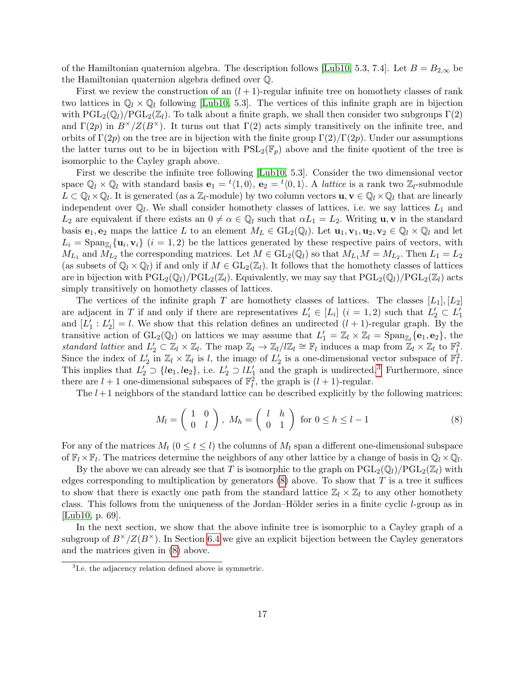of the Hamiltonian quaternion algebra. The description follows [\[Lub10,](#page-32-4) 5.3, 7.4]. Let  $B = B_{2,\infty}$  be the Hamiltonian quaternion algebra defined over Q.

First we review the construction of an  $(l + 1)$ -regular infinite tree on homothety classes of rank two lattices in  $\mathbb{Q}_l \times \mathbb{Q}_l$  following [\[Lub10,](#page-32-4) 5.3]. The vertices of this infinite graph are in bijection with  $PGL_2(\mathbb{Q}_l)/PGL_2(\mathbb{Z}_l)$ . To talk about a finite graph, we shall then consider two subgroups  $\Gamma(2)$ and  $\Gamma(2p)$  in  $B^{\times}/Z(B^{\times})$ . It turns out that  $\Gamma(2)$  acts simply transitively on the infinite tree, and orbits of  $\Gamma(2p)$  on the tree are in bijection with the finite group  $\Gamma(2)/\Gamma(2p)$ . Under our assumptions the latter turns out to be in bijection with  $PSL_2(\mathbb{F}_p)$  above and the finite quotient of the tree is isomorphic to the Cayley graph above.

First we describe the infinite tree following [\[Lub10,](#page-32-4) 5.3]. Consider the two dimensional vector space  $\mathbb{Q}_l \times \mathbb{Q}_l$  with standard basis  $\mathbf{e}_1 = {}^t\langle 1, 0 \rangle$ ,  $\mathbf{e}_2 = {}^t\langle 0, 1 \rangle$ . A *lattice* is a rank two  $\mathbb{Z}_l$ -submodule  $L \subset \mathbb{Q}_l \times \mathbb{Q}_l$ . It is generated (as a  $\mathbb{Z}_l$ -module) by two column vectors  $\mathbf{u}, \mathbf{v} \in \mathbb{Q}_l \times \mathbb{Q}_l$  that are linearly independent over  $\mathbb{Q}_l$ . We shall consider homothety classes of lattices, i.e. we say lattices  $L_1$  and  $L_2$  are equivalent if there exists an  $0 \neq \alpha \in \mathbb{Q}_l$  such that  $\alpha L_1 = L_2$ . Writing **u**, **v** in the standard basis  $e_1, e_2$  maps the lattice L to an element  $M_L \in GL_2(\mathbb{Q}_l)$ . Let  $\mathbf{u}_1, \mathbf{v}_1, \mathbf{u}_2, \mathbf{v}_2 \in \mathbb{Q}_l \times \mathbb{Q}_l$  and let  $L_i = \text{Span}_{\mathbb{Z}_l}\{\mathbf{u}_i, \mathbf{v}_i\}$   $(i = 1, 2)$  be the lattices generated by these respective pairs of vectors, with  $M_{L_1}$  and  $M_{L_2}$  the corresponding matrices. Let  $M \in GL_2(\mathbb{Q}_l)$  so that  $M_{L_1}M = M_{L_2}$ . Then  $L_1 = L_2$ (as subsets of  $\mathbb{Q}_l \times \mathbb{Q}_l$ ) if and only if  $M \in GL_2(\mathbb{Z}_l)$ . It follows that the homothety classes of lattices are in bijection with  $PGL_2(\mathbb{Q}_l)/PGL_2(\mathbb{Z}_l)$ . Equivalently, we may say that  $PGL_2(\mathbb{Q}_l)/PGL_2(\mathbb{Z}_l)$  acts simply transitively on homothety classes of lattices.

The vertices of the infinite graph T are homothety classes of lattices. The classes  $[L_1], [L_2]$ are adjacent in T if and only if there are representatives  $L'_i \in [L_i]$   $(i = 1, 2)$  such that  $L'_2 \subset L'_1$ and  $[L'_1: L'_2] = l$ . We show that this relation defines an undirected  $(l + 1)$ -regular graph. By the transitive action of  $GL_2(\mathbb{Q}_l)$  on lattices we may assume that  $L'_1 = \mathbb{Z}_l \times \mathbb{Z}_l = \text{Span}_{\mathbb{Z}_l}\{e_1, e_2\}$ , the standard lattice and  $L'_2 \subset \mathbb{Z}_l \times \mathbb{Z}_l$ . The map  $\mathbb{Z}_l \to \mathbb{Z}_l / l \mathbb{Z}_l \cong \mathbb{F}_l$  induces a map from  $\mathbb{Z}_l \times \mathbb{Z}_l$  to  $\mathbb{F}_l^2$ . Since the index of  $L'_2$  in  $\mathbb{Z}_l \times \mathbb{Z}_l$  is l, the image of  $L'_2$  is a one-dimensional vector subspace of  $\mathbb{F}_l^2$ . This implies that  $L'_2 \supset \{l\mathbf{e}_1, l\mathbf{e}_2\}$ , i.e.  $L'_2 \supset lL'_1$  and the graph is undirected.<sup>[3](#page-16-0)</sup> Furthermore, since there are  $l + 1$  one-dimensional subspaces of  $\mathbb{F}_l^2$ , the graph is  $(l + 1)$ -regular.

The  $l+1$  neighbors of the standard lattice can be described explicitly by the following matrices:

<span id="page-16-1"></span>
$$
M_l = \begin{pmatrix} 1 & 0 \\ 0 & l \end{pmatrix}, M_h = \begin{pmatrix} l & h \\ 0 & 1 \end{pmatrix} \text{ for } 0 \le h \le l - 1
$$
 (8)

For any of the matrices  $M_t$  ( $0 \le t \le l$ ) the columns of  $M_t$  span a different one-dimensional subspace of  $\mathbb{F}_l \times \mathbb{F}_l$ . The matrices determine the neighbors of any other lattice by a change of basis in  $\mathbb{Q}_l \times \mathbb{Q}_l$ .

By the above we can already see that T is isomorphic to the graph on  $PGL_2(\mathbb{Q}_l)/PGL_2(\mathbb{Z}_l)$  with edges corresponding to multiplication by generators  $(8)$  above. To show that T is a tree it suffices to show that there is exactly one path from the standard lattice  $\mathbb{Z}_l \times \mathbb{Z}_l$  to any other homothety class. This follows from the uniqueness of the Jordan–Hölder series in a finite cyclic *l*-group as in [\[Lub10,](#page-32-4) p. 69].

In the next section, we show that the above infinite tree is isomorphic to a Cayley graph of a subgroup of  $B^{\times}/Z(B^{\times})$ . In Section [6.4](#page-18-0) we give an explicit bijection between the Cayley generators and the matrices given in [\(8\)](#page-16-1) above.

<span id="page-16-0"></span><sup>&</sup>lt;sup>3</sup>I.e. the adjacency relation defined above is symmetric.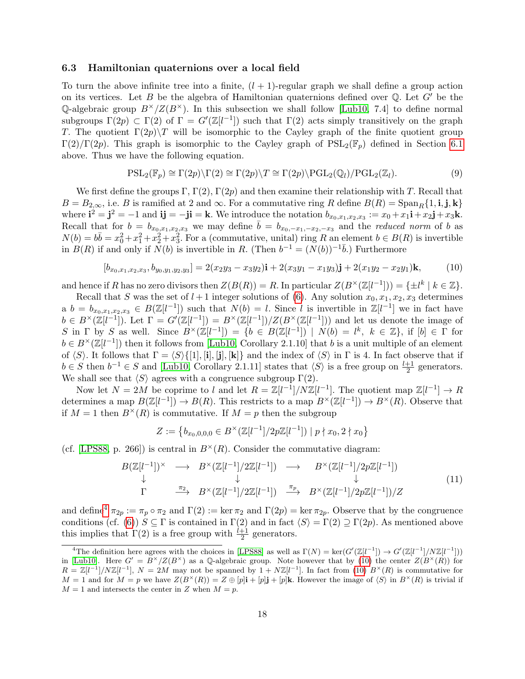#### <span id="page-17-0"></span>6.3 Hamiltonian quaternions over a local field

To turn the above infinite tree into a finite,  $(l + 1)$ -regular graph we shall define a group action on its vertices. Let B be the algebra of Hamiltonian quaternions defined over  $\mathbb Q$ . Let G' be the Q-algebraic group  $B^{\times}/Z(B^{\times})$ . In this subsection we shall follow [\[Lub10,](#page-32-4) 7.4] to define normal subgroups  $\Gamma(2p) \subset \Gamma(2)$  of  $\Gamma = G'(\mathbb{Z}[l^{-1}])$  such that  $\Gamma(2)$  acts simply transitively on the graph T. The quotient  $\Gamma(2p)\$  will be isomorphic to the Cayley graph of the finite quotient group  $\Gamma(2)/\Gamma(2p)$ . This graph is isomorphic to the Cayley graph of  $PSL_2(\mathbb{F}_p)$  defined in Section [6.1](#page-15-1) above. Thus we have the following equation.

<span id="page-17-4"></span>
$$
PSL_2(\mathbb{F}_p) \cong \Gamma(2p) \backslash \Gamma(2) \cong \Gamma(2p) \backslash T \cong \Gamma(2p) \backslash \mathrm{PGL}_2(\mathbb{Q}_l) / \mathrm{PGL}_2(\mathbb{Z}_l).
$$
\n(9)

We first define the groups  $\Gamma$ ,  $\Gamma(2)$ ,  $\Gamma(2p)$  and then examine their relationship with T. Recall that  $B = B_{2,\infty}$ , i.e. B is ramified at 2 and  $\infty$ . For a commutative ring R define  $B(R) = \text{Span}_R\{1, \mathbf{i}, \mathbf{j}, \mathbf{k}\}\$ where  $\mathbf{i}^2 = \mathbf{j}^2 = -1$  and  $\mathbf{ij} = -\mathbf{ji} = \mathbf{k}$ . We introduce the notation  $b_{x_0,x_1,x_2,x_3} := x_0 + x_1 \mathbf{i} + x_2 \mathbf{j} + x_3 \mathbf{k}$ . Recall that for  $b = b_{x_0,x_1,x_2,x_3}$  we may define  $\overline{b} = b_{x_0,-x_1,-x_2,-x_3}$  and the *reduced norm* of b as  $N(b) = b\overline{b} = x_0^2 + x_1^2 + x_2^2 + x_3^2$ . For a (commutative, unital) ring R an element  $b \in B(R)$  is invertible in  $B(R)$  if and only if  $\tilde{N}(b)$  is invertible in R. (Then  $b^{-1} = (N(b))^{-1}\overline{b}$ .) Furthermore

<span id="page-17-2"></span>
$$
[b_{x_0,x_1,x_2,x_3}, b_{y_0,y_1,y_2,y_3}] = 2(x_2y_3 - x_3y_2)\mathbf{i} + 2(x_3y_1 - x_1y_3)\mathbf{j} + 2(x_1y_2 - x_2y_1)\mathbf{k},\tag{10}
$$

and hence if R has no zero divisors then  $Z(B(R)) = R$ . In particular  $Z(B^{\times}(\mathbb{Z}[l^{-1}])) = {\pm l^{k} | k \in \mathbb{Z}}.$ 

Recall that S was the set of  $l + 1$  integer solutions of [\(6\)](#page-15-4). Any solution  $x_0, x_1, x_2, x_3$  determines a  $b = b_{x_0,x_1,x_2,x_3} \in B(\mathbb{Z}[l^{-1}])$  such that  $N(b) = l$ . Since l is invertible in  $\mathbb{Z}[l^{-1}]$  we in fact have  $b \in B^{\times}(\mathbb{Z}[l^{-1}])$ . Let  $\Gamma = G'(\mathbb{Z}[l^{-1}]) = B^{\times}(\mathbb{Z}[l^{-1}])/Z(B^{\times}(\mathbb{Z}[l^{-1}]))$  and let us denote the image of S in  $\Gamma$  by S as well. Since  $B^{\times}(\mathbb{Z}[l^{-1}]) = \{b \in B(\mathbb{Z}[l^{-1}]) \mid N(b) = l^k, k \in \mathbb{Z}\},\$ if  $[b] \in \Gamma$  for  $b \in B^{\times}(\mathbb{Z}[l^{-1}])$  then it follows from [\[Lub10,](#page-32-4) Corollary 2.1.10] that b is a unit multiple of an element of  $\langle S \rangle$ . It follows that  $\Gamma = \langle S \rangle \{[1], [\mathbf{i}], [\mathbf{j}], [\mathbf{k}]\}$  and the index of  $\langle S \rangle$  in  $\Gamma$  is 4. In fact observe that if  $b \in S$  then  $b^{-1} \in S$  and [\[Lub10,](#page-32-4) Corollary 2.1.11] states that  $\langle S \rangle$  is a free group on  $\frac{l+1}{2}$  generators. We shall see that  $\langle S \rangle$  agrees with a congruence subgroup  $\Gamma(2)$ .

Now let  $N = 2M$  be coprime to l and let  $R = \mathbb{Z}[l^{-1}]/N\mathbb{Z}[l^{-1}]$ . The quotient map  $\mathbb{Z}[l^{-1}] \to R$ determines a map  $B(\mathbb{Z}[l^{-1}]) \to B(R)$ . This restricts to a map  $B^{\times}(\mathbb{Z}[l^{-1}]) \to B^{\times}(R)$ . Observe that if  $M = 1$  then  $B^{\times}(R)$  is commutative. If  $M = p$  then the subgroup

$$
Z := \left\{ b_{x_0,0,0,0} \in B^{\times}(\mathbb{Z}[l^{-1}]/2p\mathbb{Z}[l^{-1}]) \mid p \nmid x_0, 2 \nmid x_0 \right\}
$$

(cf. [\[LPS88,](#page-31-1) p. 266]) is central in  $B^{\times}(R)$ . Consider the commutative diagram:

<span id="page-17-3"></span>
$$
B(\mathbb{Z}[l^{-1}])^{\times} \longrightarrow B^{\times}(\mathbb{Z}[l^{-1}]/2\mathbb{Z}[l^{-1}]) \longrightarrow B^{\times}(\mathbb{Z}[l^{-1}]/2p\mathbb{Z}[l^{-1}])
$$
  
\n
$$
\downarrow \qquad \qquad \downarrow \qquad \qquad \downarrow \qquad \qquad \downarrow \qquad \qquad (11)
$$
  
\n
$$
\Gamma \qquad \stackrel{\pi_2}{\longrightarrow} B^{\times}(\mathbb{Z}[l^{-1}]/2\mathbb{Z}[l^{-1}]) \qquad \stackrel{\pi_p}{\longrightarrow} B^{\times}(\mathbb{Z}[l^{-1}]/2p\mathbb{Z}[l^{-1}])/Z
$$

and define<sup>[4](#page-17-1)</sup>  $\pi_{2p} := \pi_p \circ \pi_2$  and  $\Gamma(2) := \ker \pi_2$  and  $\Gamma(2p) = \ker \pi_{2p}$ . Observe that by the congruence conditions (cf. [\(6\)](#page-15-4))  $S \subseteq \Gamma$  is contained in  $\Gamma(2)$  and in fact  $\langle S \rangle = \Gamma(2) \supseteq \Gamma(2p)$ . As mentioned above this implies that  $\Gamma(2)$  is a free group with  $\frac{l+1}{2}$  generators.

<span id="page-17-1"></span><sup>&</sup>lt;sup>4</sup>The definition here agrees with the choices in [\[LPS88\]](#page-31-1) as well as  $\Gamma(N) = \text{ker}(G'(\mathbb{Z}[l^{-1}]) \to G'(\mathbb{Z}[l^{-1}]/N\mathbb{Z}[l^{-1}]))$ in [\[Lub10\]](#page-32-4). Here  $G' = B^{\times}/Z(B^{\times})$  as a Q-algebraic group. Note however that by [\(10\)](#page-17-2) the center  $Z(B^{\times}(R))$  for  $R = \mathbb{Z}[l^{-1}]/N\mathbb{Z}[l^{-1}], N = 2M$  may not be spanned by  $1 + N\mathbb{Z}[l^{-1}]$ . In fact from [\(10\)](#page-17-2)  $B^{\times}(R)$  is commutative for  $M = 1$  and for  $M = p$  we have  $Z(B^{\times}(R)) = Z \oplus [p]\mathbf{i} + [p]\mathbf{j} + [p]\mathbf{k}$ . However the image of  $\langle S \rangle$  in  $B^{\times}(R)$  is trivial if  $M = 1$  and intersects the center in Z when  $M = p$ .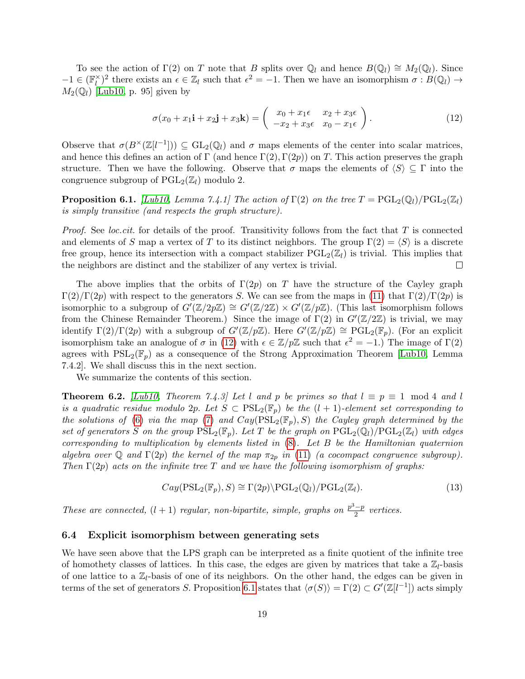To see the action of  $\Gamma(2)$  on T note that B splits over  $\mathbb{Q}_l$  and hence  $B(\mathbb{Q}_l) \cong M_2(\mathbb{Q}_l)$ . Since  $-1 \in (\mathbb{F}_l^\times)$  $\ell_l^{\times}$ )<sup>2</sup> there exists an  $\epsilon \in \mathbb{Z}_l$  such that  $\epsilon^2 = -1$ . Then we have an isomorphism  $\sigma : B(\mathbb{Q}_l) \to$  $M_2(\mathbb{Q}_l)$  [\[Lub10,](#page-32-4) p. 95] given by

<span id="page-18-1"></span>
$$
\sigma(x_0 + x_1 \mathbf{i} + x_2 \mathbf{j} + x_3 \mathbf{k}) = \begin{pmatrix} x_0 + x_1 \epsilon & x_2 + x_3 \epsilon \\ -x_2 + x_3 \epsilon & x_0 - x_1 \epsilon \end{pmatrix}.
$$
 (12)

Observe that  $\sigma(B^{\times}(\mathbb{Z}[l^{-1}])) \subseteq GL_2(\mathbb{Q}_l)$  and  $\sigma$  maps elements of the center into scalar matrices, and hence this defines an action of  $\Gamma$  (and hence  $\Gamma(2), \Gamma(2p)$ ) on T. This action preserves the graph structure. Then we have the following. Observe that  $\sigma$  maps the elements of  $\langle S \rangle \subseteq \Gamma$  into the congruence subgroup of  $PGL_2(\mathbb{Z}_l)$  modulo 2.

<span id="page-18-2"></span>**Proposition 6.1.** [\[Lub10,](#page-32-4) Lemma 7.4.1] The action of  $\Gamma(2)$  on the tree  $T = \text{PGL}_2(\mathbb{Q}_l)/\text{PGL}_2(\mathbb{Z}_l)$ is simply transitive (and respects the graph structure).

*Proof.* See *loc.cit.* for details of the proof. Transitivity follows from the fact that  $T$  is connected and elements of S map a vertex of T to its distinct neighbors. The group  $\Gamma(2) = \langle S \rangle$  is a discrete free group, hence its intersection with a compact stabilizer  $PGL_2(\mathbb{Z}_l)$  is trivial. This implies that the neighbors are distinct and the stabilizer of any vertex is trivial.  $\Box$ 

The above implies that the orbits of  $\Gamma(2p)$  on T have the structure of the Cayley graph  $\Gamma(2)/\Gamma(2p)$  with respect to the generators S. We can see from the maps in [\(11\)](#page-17-3) that  $\Gamma(2)/\Gamma(2p)$  is isomorphic to a subgroup of  $G'(\mathbb{Z}/2p\mathbb{Z}) \cong G'(\mathbb{Z}/2\mathbb{Z}) \times G'(\mathbb{Z}/p\mathbb{Z})$ . (This last isomorphism follows from the Chinese Remainder Theorem.) Since the image of  $\Gamma(2)$  in  $G'(\mathbb{Z}/2\mathbb{Z})$  is trivial, we may identify  $\Gamma(2)/\Gamma(2p)$  with a subgroup of  $G'(\mathbb{Z}/p\mathbb{Z})$ . Here  $G'(\mathbb{Z}/p\mathbb{Z}) \cong \mathrm{PGL}_2(\mathbb{F}_p)$ . (For an explicit isomorphism take an analogue of  $\sigma$  in [\(12\)](#page-18-1) with  $\epsilon \in \mathbb{Z}/p\mathbb{Z}$  such that  $\epsilon^2 = -1$ .) The image of  $\Gamma(2)$ agrees with  $PSL_2(\mathbb{F}_p)$  as a consequence of the Strong Approximation Theorem [\[Lub10,](#page-32-4) Lemma 7.4.2]. We shall discuss this in the next section.

We summarize the contents of this section.

**Theorem 6.2.** [\[Lub10,](#page-32-4) Theorem 7.4.3] Let l and p be primes so that  $l \equiv p \equiv 1 \mod 4$  and l is a quadratic residue modulo 2p. Let  $S \subset \text{PSL}_2(\mathbb{F}_p)$  be the  $(l+1)$ -element set corresponding to the solutions of [\(6\)](#page-15-4) via the map [\(7\)](#page-15-5) and  $Cay(PSL_2(\mathbb{F}_p), S)$  the Cayley graph determined by the set of generators S on the group  $PSL_2(\mathbb{F}_p)$ . Let T be the graph on  $PGL_2(\mathbb{Q}_l)/PGL_2(\mathbb{Z}_l)$  with edges corresponding to multiplication by elements listed in  $(8)$ . Let B be the Hamiltonian quaternion algebra over Q and  $\Gamma(2p)$  the kernel of the map  $\pi_{2p}$  in [\(11\)](#page-17-3) (a cocompact congruence subgroup). Then  $\Gamma(2p)$  acts on the infinite tree T and we have the following isomorphism of graphs:

$$
Cay(\mathrm{PSL}_2(\mathbb{F}_p), S) \cong \Gamma(2p) \backslash \mathrm{PGL}_2(\mathbb{Q}_l) / \mathrm{PGL}_2(\mathbb{Z}_l). \tag{13}
$$

These are connected,  $(l + 1)$  regular, non-bipartite, simple, graphs on  $\frac{p^3 - p}{2}$  $\frac{-p}{2}$  vertices.

#### <span id="page-18-0"></span>6.4 Explicit isomorphism between generating sets

We have seen above that the LPS graph can be interpreted as a finite quotient of the infinite tree of homothety classes of lattices. In this case, the edges are given by matrices that take a  $\mathbb{Z}_l$ -basis of one lattice to a  $\mathbb{Z}_l$ -basis of one of its neighbors. On the other hand, the edges can be given in terms of the set of generators S. Proposition [6.1](#page-18-2) states that  $\langle \sigma(S) \rangle = \Gamma(2) \subset G'(\mathbb{Z}[l^{-1}])$  acts simply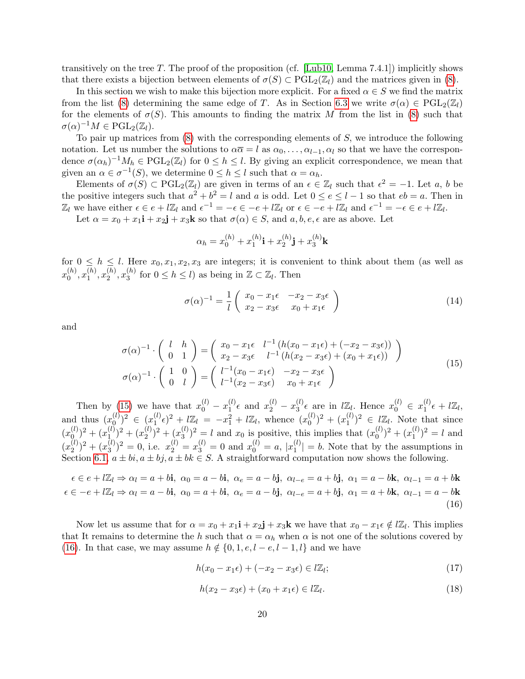transitively on the tree T. The proof of the proposition (cf. [\[Lub10,](#page-32-4) Lemma 7.4.1]) implicitly shows that there exists a bijection between elements of  $\sigma(S) \subset \text{PGL}_2(\mathbb{Z}_l)$  and the matrices given in [\(8\)](#page-16-1).

In this section we wish to make this bijection more explicit. For a fixed  $\alpha \in S$  we find the matrix from the list [\(8\)](#page-16-1) determining the same edge of T. As in Section [6.3](#page-17-0) we write  $\sigma(\alpha) \in \text{PGL}_2(\mathbb{Z}_l)$ for the elements of  $\sigma(S)$ . This amounts to finding the matrix M from the list in [\(8\)](#page-16-1) such that  $\sigma(\alpha)^{-1}M \in \mathrm{PGL}_2(\mathbb{Z}_l).$ 

To pair up matrices from  $(8)$  with the corresponding elements of S, we introduce the following notation. Let us number the solutions to  $\alpha \overline{\alpha} = l$  as  $\alpha_0, \ldots, \alpha_{l-1}, \alpha_l$  so that we have the correspondence  $\sigma(\alpha_h)^{-1}M_h \in \text{PGL}_2(\mathbb{Z}_l)$  for  $0 \leq h \leq l$ . By giving an explicit correspondence, we mean that given an  $\alpha \in \sigma^{-1}(S)$ , we determine  $0 \leq h \leq l$  such that  $\alpha = \alpha_h$ .

Elements of  $\sigma(S) \subset \text{PGL}_2(\mathbb{Z}_l)$  are given in terms of an  $\epsilon \in \mathbb{Z}_l$  such that  $\epsilon^2 = -1$ . Let a, b be the positive integers such that  $a^2 + b^2 = l$  and a is odd. Let  $0 \le e \le l - 1$  so that  $eb = a$ . Then in  $\mathbb{Z}_l$  we have either  $\epsilon \in e + l\mathbb{Z}_l$  and  $\epsilon^{-1} = -\epsilon \in -e + l\mathbb{Z}_l$  or  $\epsilon \in -e + l\mathbb{Z}_l$  and  $\epsilon^{-1} = -\epsilon \in e + l\mathbb{Z}_l$ .

Let  $\alpha = x_0 + x_1 \mathbf{i} + x_2 \mathbf{j} + x_3 \mathbf{k}$  so that  $\sigma(\alpha) \in S$ , and  $a, b, e, \epsilon$  are as above. Let

$$
\alpha_h = x_0^{(h)} + x_1^{(h)}\mathbf{i} + x_2^{(h)}\mathbf{j} + x_3^{(h)}\mathbf{k}
$$

for  $0 \leq h \leq l$ . Here  $x_0, x_1, x_2, x_3$  are integers; it is convenient to think about them (as well as  $x_0^{(h)}$  $\binom{(h)}{0}, x_1^{(h)}$  $\binom{h}{1}, x_2^{(h)}$  $\binom{h}{2}, x_3^{(h)}$  $\binom{h}{3}$  for  $0 \le h \le l$ ) as being in  $\mathbb{Z} \subset \mathbb{Z}_l$ . Then

$$
\sigma(\alpha)^{-1} = \frac{1}{l} \begin{pmatrix} x_0 - x_1 \epsilon & -x_2 - x_3 \epsilon \\ x_2 - x_3 \epsilon & x_0 + x_1 \epsilon \end{pmatrix}
$$
 (14)

<span id="page-19-0"></span>and

$$
\sigma(\alpha)^{-1} \cdot \begin{pmatrix} l & h \\ 0 & 1 \end{pmatrix} = \begin{pmatrix} x_0 - x_1 \epsilon & l^{-1} \left( h(x_0 - x_1 \epsilon) + (-x_2 - x_3 \epsilon) \right) \\ x_2 - x_3 \epsilon & l^{-1} \left( h(x_2 - x_3 \epsilon) + (x_0 + x_1 \epsilon) \right) \end{pmatrix}
$$
\n
$$
\sigma(\alpha)^{-1} \cdot \begin{pmatrix} 1 & 0 \\ 0 & l \end{pmatrix} = \begin{pmatrix} l^{-1}(x_0 - x_1 \epsilon) & -x_2 - x_3 \epsilon \\ l^{-1}(x_2 - x_3 \epsilon) & x_0 + x_1 \epsilon \end{pmatrix}
$$
\n(15)

Then by [\(15\)](#page-19-0) we have that  $x_0^{(l)} - x_1^{(l)}$  $x_1^{(l)} \epsilon$  and  $x_2^{(l)} - x_3^{(l)}$  $\mathbf{z}_{3}^{(l)} \epsilon$  are in  $l\mathbb{Z}_{l}$ . Hence  $x_{0}^{(l)} \in x_{1}^{(l)}$  $l_1^{(l)}\epsilon+l\mathbb{Z}_l,$ and thus  $(x_0^{(l)})$  $\binom{(l)}{0}^2 \in (x_1^{(l)}$  $\int_1^{(l)} \epsilon^2 + l \mathbb{Z}_l = -x_1^2 + l \mathbb{Z}_l$ , whence  $(x_0^{(l)})$  $\binom{(l)}{0}^2 + \binom{(l)}{1}^2$  $\binom{l}{1}^2 \in l\mathbb{Z}_l$ . Note that since  $(x_0^{(l)}$  $\binom{(l)}{0}^2 + \binom{(l)}{1}$  $\binom{(l)}{1}^2 + \binom{(l)}{2}^2$  $\binom{(l)}{2}^2 + \binom{(l)}{3}^2$  $\binom{d}{3}$ <sup>2</sup> = l and  $x_0$  is positive, this implies that  $\binom{x_0^{(l)}}{q}$  $\binom{(l)}{0}^2 + \binom{(l)}{1}^2$  $\binom{l}{1}^2 = l$  and  $(x_2^{(l)}$  $\binom{(l)}{2}^2 + \binom{(l)}{3}^2$  $\left(\begin{matrix}1\\3\end{matrix}\right)^2 = 0$ , i.e.  $x_2^{(l)} = x_3^{(l)} = 0$  and  $x_0^{(l)} = a$ ,  $|x_1^{(l)}|$  $|_{1}^{(i)}| = b$ . Note that by the assumptions in Section [6.1,](#page-15-1)  $a \pm bi, a \pm bj, a \pm bk \in S$ . A straightforward computation now shows the following.

<span id="page-19-1"></span> $\epsilon \in e + l\mathbb{Z}_l \Rightarrow \alpha_l = a + b\mathbf{i}, \ \alpha_0 = a - b\mathbf{i}, \ \alpha_e = a - b\mathbf{j}, \ \alpha_{l-e} = a + b\mathbf{j}, \ \alpha_1 = a - b\mathbf{k}, \ \alpha_{l-1} = a + b\mathbf{k}$  $\epsilon \in -e + l\mathbb{Z}_l \Rightarrow \alpha_l = a - bi, \ \alpha_0 = a + bi, \ \alpha_e = a - bj, \ \alpha_{l-e} = a + bj, \ \alpha_1 = a + bk, \ \alpha_{l-1} = a - bk$ (16)

Now let us assume that for  $\alpha = x_0 + x_1 \mathbf{i} + x_2 \mathbf{j} + x_3 \mathbf{k}$  we have that  $x_0 - x_1 \in \mathcal{L}(\mathbb{Z}_l)$ . This implies that It remains to determine the h such that  $\alpha = \alpha_h$  when  $\alpha$  is not one of the solutions covered by [\(16\)](#page-19-1). In that case, we may assume  $h \notin \{0, 1, e, l - e, l - 1, l\}$  and we have

<span id="page-19-2"></span>
$$
h(x_0 - x_1 \epsilon) + (-x_2 - x_3 \epsilon) \in l\mathbb{Z}_l;
$$
\n
$$
(17)
$$

<span id="page-19-3"></span>
$$
h(x_2 - x_3 \epsilon) + (x_0 + x_1 \epsilon) \in l\mathbb{Z}_l. \tag{18}
$$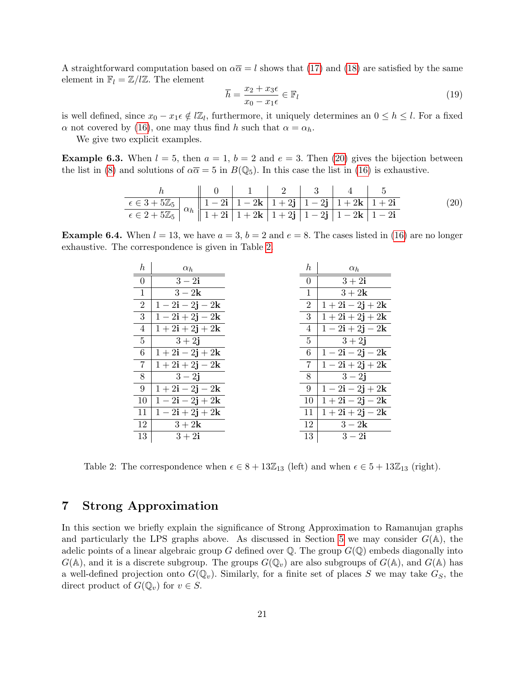A straightforward computation based on  $\alpha \overline{\alpha} = l$  shows that [\(17\)](#page-19-2) and [\(18\)](#page-19-3) are satisfied by the same element in  $\mathbb{F}_l = \mathbb{Z}/l\mathbb{Z}$ . The element

$$
\overline{h} = \frac{x_2 + x_3 \epsilon}{x_0 - x_1 \epsilon} \in \mathbb{F}_l \tag{19}
$$

is well defined, since  $x_0 - x_1 \epsilon \notin \ell \mathbb{Z}_l$ , furthermore, it uniquely determines an  $0 \leq h \leq l$ . For a fixed  $\alpha$  not covered by [\(16\)](#page-19-1), one may thus find h such that  $\alpha = \alpha_h$ .

We give two explicit examples.

**Example 6.3.** When  $l = 5$ , then  $a = 1$ ,  $b = 2$  and  $e = 3$ . Then [\(20\)](#page-20-1) gives the bijection between the list in [\(8\)](#page-16-1) and solutions of  $\alpha \overline{\alpha} = 5$  in  $B(\mathbb{Q}_5)$ . In this case the list in [\(16\)](#page-19-1) is exhaustive.

<span id="page-20-1"></span>h 0 1 2 3 4 5 ∈ 3 + 5Z<sup>5</sup> αh 1 − 2i 1 − 2k 1 + 2j 1 − 2j 1 + 2k 1 + 2i ∈ 2 + 5Z<sup>5</sup> 1 + 2i 1 + 2k 1 + 2j 1 − 2j 1 − 2k 1 − 2i (20)

**Example 6.4.** When  $l = 13$ , we have  $a = 3$ ,  $b = 2$  and  $e = 8$ . The cases listed in [\(16\)](#page-19-1) are no longer exhaustive. The correspondence is given in Table [2.](#page-20-2)

| $\hbar$         | $\alpha_h$                                               | $\boldsymbol{h}$ | $\alpha_h$                              |
|-----------------|----------------------------------------------------------|------------------|-----------------------------------------|
| $\overline{0}$  | $3-2i$                                                   | $\overline{0}$   | $3+2i$                                  |
| $\mathbf{1}$    | $3-2k$                                                   | 1                | $3+2k$                                  |
| 2               | $1-2\mathbf{i}-2\mathbf{j}-2\mathbf{k}$                  | $\overline{2}$   | $1+2\mathbf{i}-2\mathbf{j}+2\mathbf{k}$ |
| 3               | $1-2\mathbf{i}+2\mathbf{j}-2\mathbf{k}$                  | 3                | $1+2\mathbf{i}+2\mathbf{j}+2\mathbf{k}$ |
| $\overline{4}$  | $1+2\mathbf{i}+2\mathbf{j}+2\mathbf{k}$                  | 4                | $1-2\mathbf{i}+2\mathbf{j}-2\mathbf{k}$ |
| $5\phantom{.0}$ | $3 + 2j$                                                 | $5^{\circ}$      | $3 + 2j$                                |
| 6               | $1+2\mathbf{i}-2\mathbf{j}+2\mathbf{k}$                  | 6                | $1 - 2i - 2j - 2k$                      |
| $\overline{7}$  | $1+2\mathbf{i}+2\mathbf{j}-2\mathbf{k}$                  | $\overline{7}$   | $1-2\mathbf{i}+2\mathbf{j}+2\mathbf{k}$ |
| 8               | $3 - 2j$                                                 | 8                | $3 - 2j$                                |
| 9               | $1+2\mathbf{i}-2\mathbf{j}-2\mathbf{k}$                  | $9\phantom{.0}$  | $1-2\mathbf{i}-2\mathbf{j}+2\mathbf{k}$ |
| 10              | $1-2\mathbf{i}-2\mathbf{j}+2\mathbf{k}$                  | 10               | $1+2\mathbf{i}-2\mathbf{j}-2\mathbf{k}$ |
| 11              | $\overline{1} - 2\mathbf{i} + 2\mathbf{j} + 2\mathbf{k}$ | 11               | $1 + 2i + 2j - 2k$                      |
| 12              | $3+2k$                                                   | 12               | $3-2k$                                  |
| 13              | $3+2i$                                                   | 13               | $3-2i$                                  |

<span id="page-20-2"></span>Table 2: The correspondence when  $\epsilon \in 8 + 13\mathbb{Z}_{13}$  (left) and when  $\epsilon \in 5 + 13\mathbb{Z}_{13}$  (right).

# <span id="page-20-0"></span>7 Strong Approximation

In this section we briefly explain the significance of Strong Approximation to Ramanujan graphs and particularly the LPS graphs above. As discussed in Section [5](#page-14-0) we may consider  $G(\mathbb{A})$ , the adelic points of a linear algebraic group G defined over  $\mathbb Q$ . The group  $G(\mathbb Q)$  embeds diagonally into  $G(\mathbb{A})$ , and it is a discrete subgroup. The groups  $G(\mathbb{Q}_v)$  are also subgroups of  $G(\mathbb{A})$ , and  $G(\mathbb{A})$  has a well-defined projection onto  $G(\mathbb{Q}_v)$ . Similarly, for a finite set of places S we may take  $G_S$ , the direct product of  $G(\mathbb{Q}_v)$  for  $v \in S$ .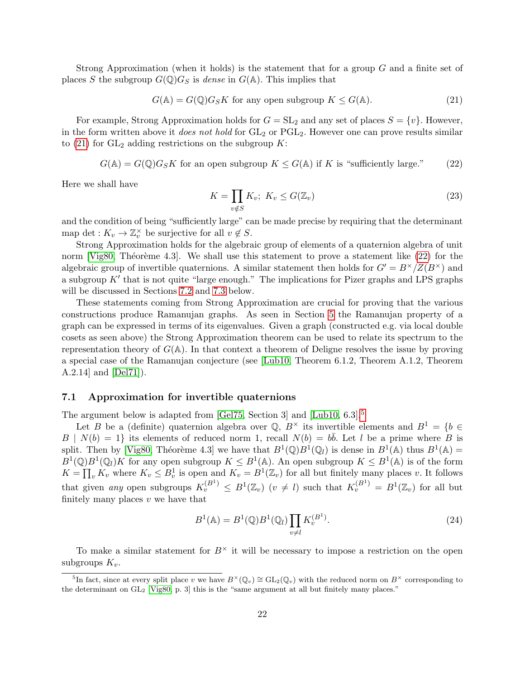Strong Approximation (when it holds) is the statement that for a group G and a finite set of places S the subgroup  $G(\mathbb{Q})G_S$  is dense in  $G(\mathbb{A})$ . This implies that

<span id="page-21-0"></span>
$$
G(\mathbb{A}) = G(\mathbb{Q})G_S K
$$
 for any open subgroup  $K \leq G(\mathbb{A}).$  (21)

For example, Strong Approximation holds for  $G = SL_2$  and any set of places  $S = \{v\}$ . However, in the form written above it *does not hold* for  $GL_2$  or  $PGL_2$ . However one can prove results similar to [\(21\)](#page-21-0) for  $GL_2$  adding restrictions on the subgroup K:

<span id="page-21-1"></span> $G(\mathbb{A}) = G(\mathbb{Q})G_S K$  for an open subgroup  $K \leq G(\mathbb{A})$  if K is "sufficiently large." (22)

Here we shall have

$$
K = \prod_{v \notin S} K_v; \ K_v \le G(\mathbb{Z}_v)
$$
\n
$$
(23)
$$

and the condition of being "sufficiently large" can be made precise by requiring that the determinant map det :  $K_v \to \mathbb{Z}_v^{\times}$  be surjective for all  $v \notin S$ .

Strong Approximation holds for the algebraic group of elements of a quaternion algebra of unit norm [\[Vig80,](#page-32-8) Théorème 4.3]. We shall use this statement to prove a statement like  $(22)$  for the algebraic group of invertible quaternions. A similar statement then holds for  $G' = B^{\times}/Z(B^{\times})$  and a subgroup  $K'$  that is not quite "large enough." The implications for Pizer graphs and LPS graphs will be discussed in Sections [7.2](#page-22-0) and [7.3](#page-24-0) below.

These statements coming from Strong Approximation are crucial for proving that the various constructions produce Ramanujan graphs. As seen in Section [5](#page-14-0) the Ramanujan property of a graph can be expressed in terms of its eigenvalues. Given a graph (constructed e.g. via local double cosets as seen above) the Strong Approximation theorem can be used to relate its spectrum to the representation theory of  $G(\mathbb{A})$ . In that context a theorem of Deligne resolves the issue by proving a special case of the Ramanujan conjecture (see [\[Lub10,](#page-32-4) Theorem 6.1.2, Theorem A.1.2, Theorem A.2.14] and [\[Del71\]](#page-31-8)).

#### <span id="page-21-4"></span>7.1 Approximation for invertible quaternions

The argument below is adapted from [\[Gel75,](#page-31-9) Section 3] and [\[Lub10,](#page-32-4) 6.3].<sup>[5](#page-21-2)</sup>

Let B be a (definite) quaternion algebra over Q,  $B^{\times}$  its invertible elements and  $B^1 = \{b \in$  $B | N(b) = 1$  its elements of reduced norm 1, recall  $N(b) = b\overline{b}$ . Let l be a prime where B is split. Then by [\[Vig80,](#page-32-8) Théorème 4.3] we have that  $B^1(\mathbb{Q})B^1(\mathbb{Q}_l)$  is dense in  $B^1(\mathbb{A})$  thus  $B^1(\mathbb{A})$  =  $B^1(\mathbb{Q})B^1(\mathbb{Q}_l)$  for any open subgroup  $K \leq B^1(\mathbb{A})$ . An open subgroup  $K \leq B^1(\mathbb{A})$  is of the form  $K = \prod_v K_v$  where  $K_v \leq B_v^1$  is open and  $K_v = B^1(\mathbb{Z}_v)$  for all but finitely many places v. It follows that given any open subgroups  $K_v^{(B^1)} \leq B^1(\mathbb{Z}_v)$   $(v \neq l)$  such that  $K_v^{(B^1)} = B^1(\mathbb{Z}_v)$  for all but finitely many places  $v$  we have that

<span id="page-21-3"></span>
$$
B1(A) = B1(\mathbb{Q})B1(\mathbb{Q}_l)\prod_{v \neq l} K_v^{(B1)}.
$$
\n(24)

To make a similar statement for  $B^{\times}$  it will be necessary to impose a restriction on the open subgroups  $K_v$ .

<span id="page-21-2"></span><sup>&</sup>lt;sup>5</sup>In fact, since at every split place v we have  $B^{\times}(\mathbb{Q}_{v}) \cong GL_2(\mathbb{Q}_{v})$  with the reduced norm on  $B^{\times}$  corresponding to the determinant on GL<sup>2</sup> [\[Vig80,](#page-32-8) p. 3] this is the "same argument at all but finitely many places."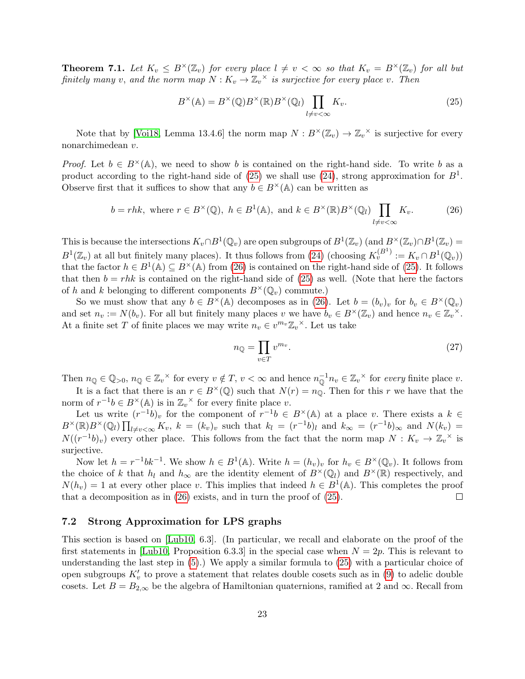**Theorem 7.1.** Let  $K_v \leq B^{\times}(\mathbb{Z}_v)$  for every place  $l \neq v < \infty$  so that  $K_v = B^{\times}(\mathbb{Z}_v)$  for all but finitely many v, and the norm map  $N: K_v \to \mathbb{Z}_v^{\times}$  is surjective for every place v. Then

<span id="page-22-1"></span>
$$
B^{\times}(\mathbb{A}) = B^{\times}(\mathbb{Q})B^{\times}(\mathbb{R})B^{\times}(\mathbb{Q}_{l})\prod_{l \neq v < \infty} K_{v}.
$$
\n(25)

Note that by [\[Voi18,](#page-32-9) Lemma 13.4.6] the norm map  $N: B^{\times}(\mathbb{Z}_v) \to \mathbb{Z}_v^{\times}$  is surjective for every nonarchimedean v.

*Proof.* Let  $b \in B^{\times}(\mathbb{A})$ , we need to show b is contained on the right-hand side. To write b as a product according to the right-hand side of [\(25\)](#page-22-1) we shall use [\(24\)](#page-21-3), strong approximation for  $B^1$ . Observe first that it suffices to show that any  $b \in B^{\times}(\mathbb{A})$  can be written as

<span id="page-22-2"></span>
$$
b = rhk, \text{ where } r \in B^{\times}(\mathbb{Q}), \ h \in B^{1}(\mathbb{A}), \text{ and } k \in B^{\times}(\mathbb{R})B^{\times}(\mathbb{Q}_{l})\prod_{l \neq v < \infty} K_{v}.
$$
 (26)

This is because the intersections  $K_v \cap B^1(\mathbb{Q}_v)$  are open subgroups of  $B^1(\mathbb{Z}_v)$  (and  $B^{\times}(\mathbb{Z}_v) \cap B^1(\mathbb{Z}_v)$ )  $B^1(\mathbb{Z}_v)$  at all but finitely many places). It thus follows from [\(24\)](#page-21-3) (choosing  $K_v^{(B^1)} := K_v \cap B^1(\mathbb{Q}_v)$ ) that the factor  $h \in B^1(\mathbb{A}) \subseteq B^{\times}(\mathbb{A})$  from [\(26\)](#page-22-2) is contained on the right-hand side of [\(25\)](#page-22-1). It follows that then  $b = r h k$  is contained on the right-hand side of [\(25\)](#page-22-1) as well. (Note that here the factors of h and k belonging to different components  $B^{\times}(\mathbb{Q}_v)$  commute.)

So we must show that any  $b \in B^{\times}(\mathbb{A})$  decomposes as in [\(26\)](#page-22-2). Let  $b = (b_v)_v$  for  $b_v \in B^{\times}(\mathbb{Q}_v)$ and set  $n_v := N(b_v)$ . For all but finitely many places v we have  $b_v \in B^{\times}(\mathbb{Z}_v)$  and hence  $n_v \in \mathbb{Z}_v^{\times}$ . At a finite set T of finite places we may write  $n_v \in v^{m_v} \mathbb{Z}_v^{\times}$ . Let us take

$$
n_{\mathbb{Q}} = \prod_{v \in T} v^{m_v}.
$$
\n<sup>(27)</sup>

Then  $n_{\mathbb{Q}} \in \mathbb{Q}_{>0}$ ,  $n_{\mathbb{Q}} \in \mathbb{Z}_{v}^{\times}$  for every  $v \notin T$ ,  $v < \infty$  and hence  $n_{\mathbb{Q}}^{-1}n_{v} \in \mathbb{Z}_{v}^{\times}$  for every finite place v.

It is a fact that there is an  $r \in B^{\times}(\mathbb{Q})$  such that  $N(r) = n_{\mathbb{Q}}$ . Then for this r we have that the norm of  $r^{-1}b \in B^{\times}(\mathbb{A})$  is in  $\mathbb{Z}_v^{\times}$  for every finite place v.

Let us write  $(r^{-1}b)_v$  for the component of  $r^{-1}b \in B^{\times}(\mathbb{A})$  at a place v. There exists a  $k \in \mathbb{A}$  $B^{\times}(\mathbb{R})B^{\times}(\mathbb{Q}_l)\prod_{l\neq v<\infty}K_v$ ,  $k=(k_v)_v$  such that  $k_l=(r^{-1}b)_l$  and  $k_{\infty}=(r^{-1}b)_{\infty}$  and  $N(k_v)=$  $N((r^{-1}b)_v)$  every other place. This follows from the fact that the norm map  $N: K_v \to \mathbb{Z}_v^{\times}$  is surjective.

Now let  $h = r^{-1}bk^{-1}$ . We show  $h \in B^1(\mathbb{A})$ . Write  $h = (h_v)_v$  for  $h_v \in B^{\times}(\mathbb{Q}_v)$ . It follows from the choice of k that  $h_l$  and  $h_{\infty}$  are the identity element of  $B^{\times}(\mathbb{Q}_l)$  and  $B^{\times}(\mathbb{R})$  respectively, and  $N(h_v) = 1$  at every other place v. This implies that indeed  $h \in B^1(\mathbb{A})$ . This completes the proof that a decomposition as in [\(26\)](#page-22-2) exists, and in turn the proof of [\(25\)](#page-22-1).  $\Box$ 

#### <span id="page-22-0"></span>7.2 Strong Approximation for LPS graphs

This section is based on [\[Lub10,](#page-32-4) 6.3]. (In particular, we recall and elaborate on the proof of the first statements in [\[Lub10,](#page-32-4) Proposition 6.3.3] in the special case when  $N = 2p$ . This is relevant to understanding the last step in  $(5)$ .) We apply a similar formula to  $(25)$  with a particular choice of open subgroups  $K'_v$  to prove a statement that relates double cosets such as in [\(9\)](#page-17-4) to adelic double cosets. Let  $B = B_{2,\infty}$  be the algebra of Hamiltonian quaternions, ramified at 2 and  $\infty$ . Recall from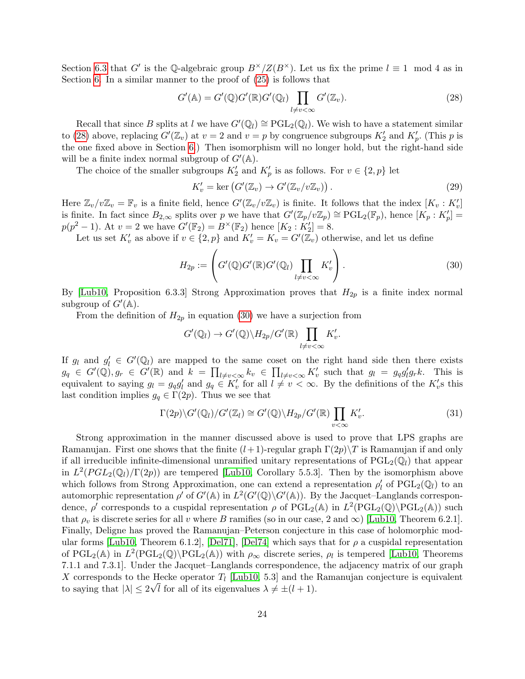Section [6.3](#page-17-0) that G' is the Q-algebraic group  $B^{\times}/Z(B^{\times})$ . Let us fix the prime  $l \equiv 1 \mod 4$  as in Section [6.](#page-15-0) In a similar manner to the proof of [\(25\)](#page-22-1) is follows that

<span id="page-23-0"></span>
$$
G'(\mathbb{A}) = G'(\mathbb{Q})G'(\mathbb{R})G'(\mathbb{Q}_l) \prod_{l \neq v < \infty} G'(\mathbb{Z}_v). \tag{28}
$$

Recall that since B splits at l we have  $G'(\mathbb{Q}_l) \cong \mathrm{PGL}_2(\mathbb{Q}_l)$ . We wish to have a statement similar to [\(28\)](#page-23-0) above, replacing  $G'(\mathbb{Z}_v)$  at  $v = 2$  and  $v = p$  by congruence subgroups  $K_2'$  and  $K_p'$ . (This p is the one fixed above in Section [6.](#page-15-0)) Then isomorphism will no longer hold, but the right-hand side will be a finite index normal subgroup of  $G'(\mathbb{A})$ .

The choice of the smaller subgroups  $K_2'$  and  $K_p'$  is as follows. For  $v \in \{2, p\}$  let

$$
K'_v = \ker \left( G'(\mathbb{Z}_v) \to G'(\mathbb{Z}_v/v\mathbb{Z}_v) \right).
$$
\n(29)

Here  $\mathbb{Z}_v/v\mathbb{Z}_v = \mathbb{F}_v$  is a finite field, hence  $G'(\mathbb{Z}_v/v\mathbb{Z}_v)$  is finite. It follows that the index  $[K_v: K'_v]$ is finite. In fact since  $B_{2,\infty}$  splits over p we have that  $G'(\mathbb{Z}_p/v\mathbb{Z}_p) \cong \mathrm{PGL}_2(\mathbb{F}_p)$ , hence  $[K_p: K_p'] =$  $p(p^2 - 1)$ . At  $v = 2$  we have  $G'(\mathbb{F}_2) = B^{\times}(\mathbb{F}_2)$  hence  $[K_2 : K'_2] = 8$ .

Let us set  $K'_v$  as above if  $v \in \{2, p\}$  and  $K'_v = K_v = G'(\overline{\mathbb{Z}}_v)$  otherwise, and let us define

<span id="page-23-1"></span>
$$
H_{2p} := \left( G'(\mathbb{Q}) G'(\mathbb{R}) G'(\mathbb{Q}_l) \prod_{l \neq v < \infty} K'_v \right). \tag{30}
$$

By [\[Lub10,](#page-32-4) Proposition 6.3.3] Strong Approximation proves that  $H_{2p}$  is a finite index normal subgroup of  $G'(\mathbb{A})$ .

From the definition of  $H_{2p}$  in equation [\(30\)](#page-23-1) we have a surjection from

$$
G'(\mathbb{Q}_l) \to G'(\mathbb{Q}) \backslash H_{2p}/G'(\mathbb{R}) \prod_{l \neq v < \infty} K'_v.
$$

If  $g_l$  and  $g'_l \in G'(\mathbb{Q}_l)$  are mapped to the same coset on the right hand side then there exists  $g_q \in G'(\mathbb{Q}), g_r \in G'(\mathbb{R})$  and  $k = \prod_{l \neq v < \infty} k_v \in \prod_{l \neq v < \infty} K'_v$  such that  $g_l = g_q g'_l g_r k$ . This is equivalent to saying  $g_l = g_q g_l'$  and  $g_q \in K'_v$  for all  $l \neq v < \infty$ . By the definitions of the  $K'_v$ s this last condition implies  $g_q \in \Gamma(2p)$ . Thus we see that

<span id="page-23-2"></span>
$$
\Gamma(2p)\backslash G'(\mathbb{Q}_l)/G'(\mathbb{Z}_l)\cong G'(\mathbb{Q})\backslash H_{2p}/G'(\mathbb{R})\prod_{v<\infty}K'_v.
$$
\n(31)

Strong approximation in the manner discussed above is used to prove that LPS graphs are Ramanujan. First one shows that the finite  $(l+1)$ -regular graph  $\Gamma(2p)\setminus T$  is Ramanujan if and only if all irreducible infinite-dimensional unramified unitary representations of  $PGL_2(\mathbb{Q}_l)$  that appear in  $L^2(PGL_2(\mathbb{Q}_l)/\Gamma(2p))$  are tempered [\[Lub10,](#page-32-4) Corollary 5.5.3]. Then by the isomorphism above which follows from Strong Approximation, one can extend a representation  $\rho'_l$  of  $\mathrm{PGL}_2(\mathbb{Q}_l)$  to an automorphic representation  $\rho'$  of  $G'(\mathbb{A})$  in  $L^2(G'(\mathbb{Q})\backslash G'(\mathbb{A}))$ . By the Jacquet–Langlands correspondence,  $\rho'$  corresponds to a cuspidal representation  $\rho$  of PGL<sub>2</sub>( $\mathbb{A}$ ) in  $L^2(PGL_2(\mathbb{Q})\backslash\mathrm{PGL}_2(\mathbb{A}))$  such that  $\rho_v$  is discrete series for all v where B ramifies (so in our case, 2 and  $\infty$ ) [\[Lub10,](#page-32-4) Theorem 6.2.1]. Finally, Deligne has proved the Ramanujan–Peterson conjecture in this case of holomorphic mod-ular forms [\[Lub10,](#page-32-4) Theorem 6.1.2], [\[Del71\]](#page-31-8), [\[Del74\]](#page-31-10) which says that for  $\rho$  a cuspidal representation of PGL<sub>2</sub>(A) in  $L^2(PGL_2(\mathbb{Q})\backslash\mathrm{PGL}_2(\mathbb{A}))$  with  $\rho_{\infty}$  discrete series,  $\rho_l$  is tempered [\[Lub10,](#page-32-4) Theorems 7.1.1 and 7.3.1]. Under the Jacquet–Langlands correspondence, the adjacency matrix of our graph X corresponds to the Hecke operator  $T_l$  [\[Lub10,](#page-32-4) 5.3] and the Ramanujan conjecture is equivalent to saying that  $|\lambda| \leq 2\sqrt{l}$  for all of its eigenvalues  $\lambda \neq \pm (l + 1)$ .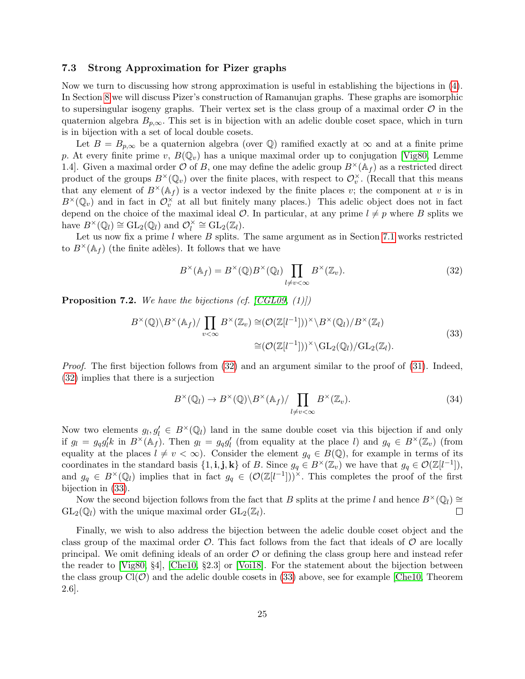#### <span id="page-24-0"></span>7.3 Strong Approximation for Pizer graphs

Now we turn to discussing how strong approximation is useful in establishing the bijections in [\(4\)](#page-12-4). In Section [8](#page-25-0) we will discuss Pizer's construction of Ramanujan graphs. These graphs are isomorphic to supersingular isogeny graphs. Their vertex set is the class group of a maximal order  $\mathcal O$  in the quaternion algebra  $B_{p,\infty}$ . This set is in bijection with an adelic double coset space, which in turn is in bijection with a set of local double cosets.

Let  $B = B_{p,\infty}$  be a quaternion algebra (over Q) ramified exactly at  $\infty$  and at a finite prime p. At every finite prime v,  $B(\mathbb{Q}_v)$  has a unique maximal order up to conjugation [\[Vig80,](#page-32-8) Lemme 1.4. Given a maximal order  $\mathcal O$  of B, one may define the adelic group  $B^{\times}(\mathbb A_f)$  as a restricted direct product of the groups  $B^{\times}(\mathbb{Q}_v)$  over the finite places, with respect to  $\mathcal{O}_v^{\times}$ . (Recall that this means that any element of  $B^{\times}(\mathbb{A}_f)$  is a vector indexed by the finite places v; the component at v is in  $B^{\times}(\mathbb{Q}_v)$  and in fact in  $\mathcal{O}_v^{\times}$  at all but finitely many places.) This adelic object does not in fact depend on the choice of the maximal ideal  $\mathcal{O}$ . In particular, at any prime  $l \neq p$  where B splits we have  $B^{\times}(\mathbb{Q}_l) \cong GL_2(\mathbb{Q}_l)$  and  $\mathcal{O}_l^{\times}$  $\chi_l^{\times} \cong \mathrm{GL}_2(\mathbb{Z}_l).$ 

Let us now fix a prime  $l$  where  $B$  splits. The same argument as in Section [7.1](#page-21-4) works restricted to  $B^{\times}(\mathbb{A}_f)$  (the finite adèles). It follows that we have

<span id="page-24-1"></span>
$$
B^{\times}(\mathbb{A}_f) = B^{\times}(\mathbb{Q})B^{\times}(\mathbb{Q}_l) \prod_{l \neq v < \infty} B^{\times}(\mathbb{Z}_v).
$$
\n(32)

<span id="page-24-2"></span>**Proposition 7.2.** We have the bijections (cf.  $[CGL09, (1)]$  $[CGL09, (1)]$ )

$$
B^{\times}(\mathbb{Q})\backslash B^{\times}(\mathbb{A}_{f})/\prod_{v<\infty} B^{\times}(\mathbb{Z}_{v}) \cong (\mathcal{O}(\mathbb{Z}[l^{-1}]))^{\times}\backslash B^{\times}(\mathbb{Q}_{l})/B^{\times}(\mathbb{Z}_{l})
$$
  

$$
\cong (\mathcal{O}(\mathbb{Z}[l^{-1}]))^{\times}\backslash \mathrm{GL}_{2}(\mathbb{Q}_{l})/\mathrm{GL}_{2}(\mathbb{Z}_{l}).
$$
\n(33)

Proof. The first bijection follows from [\(32\)](#page-24-1) and an argument similar to the proof of [\(31\)](#page-23-2). Indeed, [\(32\)](#page-24-1) implies that there is a surjection

$$
B^{\times}(\mathbb{Q}_l) \to B^{\times}(\mathbb{Q}) \backslash B^{\times}(\mathbb{A}_f) / \prod_{l \neq v < \infty} B^{\times}(\mathbb{Z}_v). \tag{34}
$$

Now two elements  $g_l, g'_l \in B^{\times}(\mathbb{Q}_l)$  land in the same double coset via this bijection if and only if  $g_l = g_q g_l' k$  in  $B^{\times}(\mathbb{A}_f)$ . Then  $g_l = g_q g_l'$  (from equality at the place l) and  $g_q \in B^{\times}(\mathbb{Z}_v)$  (from equality at the places  $l \neq v < \infty$ ). Consider the element  $g_q \in B(\mathbb{Q})$ , for example in terms of its coordinates in the standard basis  $\{1, \mathbf{i}, \mathbf{j}, \mathbf{k}\}$  of B. Since  $g_q \in B^{\times}(\mathbb{Z}_v)$  we have that  $g_q \in \mathcal{O}(\mathbb{Z}[l^{-1}]),$ and  $g_q \in B^{\times}(\mathbb{Q}_l)$  implies that in fact  $g_q \in (\mathcal{O}(\mathbb{Z}[l^{-1}]))^{\times}$ . This completes the proof of the first bijection in [\(33\)](#page-24-2).

Now the second bijection follows from the fact that B splits at the prime l and hence  $B^{\times}(\mathbb{Q}_l) \cong$  $GL_2(\mathbb{Q}_l)$  with the unique maximal order  $GL_2(\mathbb{Z}_l)$ .  $\Box$ 

Finally, we wish to also address the bijection between the adelic double coset object and the class group of the maximal order  $\mathcal{O}$ . This fact follows from the fact that ideals of  $\mathcal{O}$  are locally principal. We omit defining ideals of an order  $\mathcal O$  or defining the class group here and instead refer the reader to [\[Vig80,](#page-32-8) §4], [\[Che10,](#page-31-11) §2.3] or [\[Voi18\]](#page-32-9). For the statement about the bijection between the class group  $Cl(\mathcal{O})$  and the adelic double cosets in [\(33\)](#page-24-2) above, see for example [\[Che10,](#page-31-11) Theorem 2.6].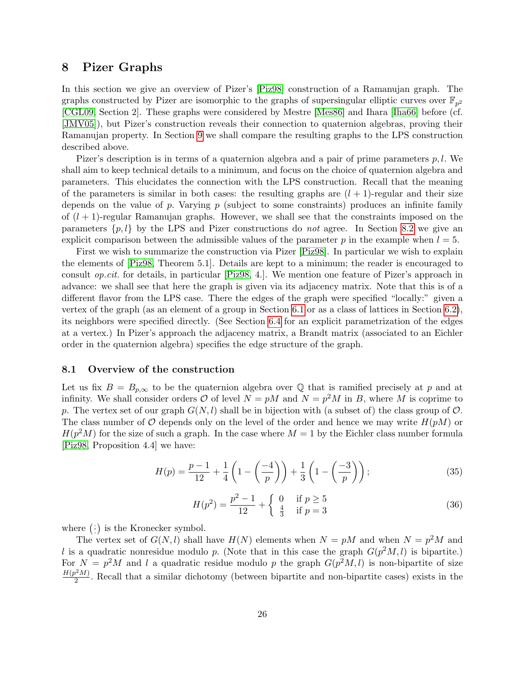## <span id="page-25-0"></span>8 Pizer Graphs

In this section we give an overview of Pizer's [\[Piz98\]](#page-32-1) construction of a Ramanujan graph. The graphs constructed by Pizer are isomorphic to the graphs of supersingular elliptic curves over  $\mathbb{F}_{p^2}$ [\[CGL09,](#page-31-4) Section 2]. These graphs were considered by Mestre [\[Mes86\]](#page-32-10) and Ihara [\[Iha66\]](#page-31-12) before (cf. [\[JMV05\]](#page-31-13)), but Pizer's construction reveals their connection to quaternion algebras, proving their Ramanujan property. In Section [9](#page-29-0) we shall compare the resulting graphs to the LPS construction described above.

Pizer's description is in terms of a quaternion algebra and a pair of prime parameters  $p, l$ . We shall aim to keep technical details to a minimum, and focus on the choice of quaternion algebra and parameters. This elucidates the connection with the LPS construction. Recall that the meaning of the parameters is similar in both cases: the resulting graphs are  $(l + 1)$ -regular and their size depends on the value of p. Varying  $p$  (subject to some constraints) produces an infinite family of  $(l + 1)$ -regular Ramanujan graphs. However, we shall see that the constraints imposed on the parameters  $\{p, l\}$  by the LPS and Pizer constructions do *not* agree. In Section [8.2](#page-27-0) we give an explicit comparison between the admissible values of the parameter p in the example when  $l = 5$ .

First we wish to summarize the construction via Pizer [\[Piz98\]](#page-32-1). In particular we wish to explain the elements of [\[Piz98,](#page-32-1) Theorem 5.1]. Details are kept to a minimum; the reader is encouraged to consult op.cit. for details, in particular [\[Piz98,](#page-32-1) 4.]. We mention one feature of Pizer's approach in advance: we shall see that here the graph is given via its adjacency matrix. Note that this is of a different flavor from the LPS case. There the edges of the graph were specified "locally:" given a vertex of the graph (as an element of a group in Section [6.1](#page-15-1) or as a class of lattices in Section [6.2\)](#page-15-2), its neighbors were specified directly. (See Section [6.4](#page-18-0) for an explicit parametrization of the edges at a vertex.) In Pizer's approach the adjacency matrix, a Brandt matrix (associated to an Eichler order in the quaternion algebra) specifies the edge structure of the graph.

#### 8.1 Overview of the construction

Let us fix  $B = B_{p,\infty}$  to be the quaternion algebra over Q that is ramified precisely at p and at infinity. We shall consider orders  $O$  of level  $N = pM$  and  $N = p^2M$  in B, where M is coprime to p. The vertex set of our graph  $G(N, l)$  shall be in bijection with (a subset of) the class group of  $\mathcal{O}$ . The class number of  $\mathcal O$  depends only on the level of the order and hence we may write  $H(pM)$  or  $H(p<sup>2</sup>M)$  for the size of such a graph. In the case where  $M = 1$  by the Eichler class number formula [\[Piz98,](#page-32-1) Proposition 4.4] we have:

$$
H(p) = \frac{p-1}{12} + \frac{1}{4} \left( 1 - \left( \frac{-4}{p} \right) \right) + \frac{1}{3} \left( 1 - \left( \frac{-3}{p} \right) \right); \tag{35}
$$

$$
H(p^2) = \frac{p^2 - 1}{12} + \begin{cases} 0 & \text{if } p \ge 5\\ \frac{4}{3} & \text{if } p = 3 \end{cases}
$$
 (36)

where  $(\frac{1}{2})$  $\left(\frac{1}{2}\right)$  is the Kronecker symbol.

The vertex set of  $G(N, l)$  shall have  $H(N)$  elements when  $N = pM$  and when  $N = p^2M$  and l is a quadratic nonresidue modulo p. (Note that in this case the graph  $G(p^2M, l)$  is bipartite.) For  $N = p^2 M$  and l a quadratic residue modulo p the graph  $G(p^2 M, l)$  is non-bipartite of size  $H(p^2M)$  $\frac{2^{n}M}{2}$ . Recall that a similar dichotomy (between bipartite and non-bipartite cases) exists in the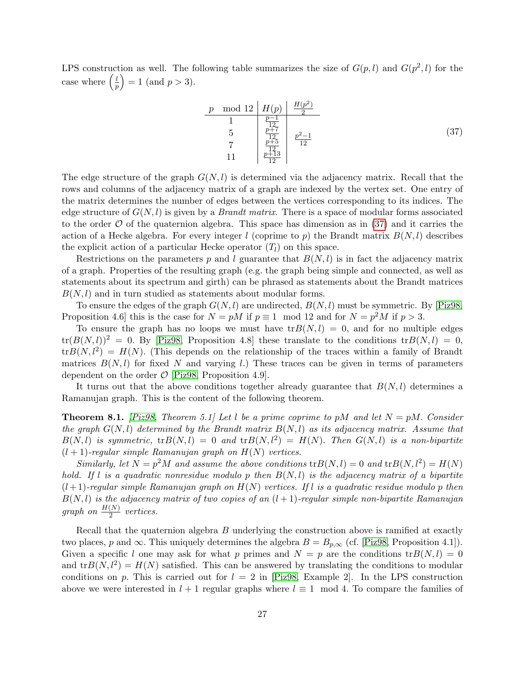LPS construction as well. The following table summarizes the size of  $G(p, l)$  and  $G(p^2, l)$  for the case where  $\left(\frac{l}{r}\right)$  $\left(\frac{l}{p}\right) = 1$  (and  $p > 3$ ).

<span id="page-26-0"></span>
$$
\begin{array}{c|c|c}\np \mod 12 & H(p) & \frac{H(p^2)}{2} \\
\hline\n1 & \frac{p-1}{12} \\
5 & \frac{p+7}{12} \\
7 & \frac{p+5}{12} \\
11 & \frac{p+13}{12}\n\end{array}\n\tag{37}
$$

The edge structure of the graph  $G(N, l)$  is determined via the adjacency matrix. Recall that the rows and columns of the adjacency matrix of a graph are indexed by the vertex set. One entry of the matrix determines the number of edges between the vertices corresponding to its indices. The edge structure of  $G(N, l)$  is given by a *Brandt matrix*. There is a space of modular forms associated to the order  $\mathcal O$  of the quaternion algebra. This space has dimension as in [\(37\)](#page-26-0) and it carries the action of a Hecke algebra. For every integer l (coprime to p) the Brandt matrix  $B(N, l)$  describes the explicit action of a particular Hecke operator  $(T_l)$  on this space.

Restrictions on the parameters p and l guarantee that  $B(N, l)$  is in fact the adjacency matrix of a graph. Properties of the resulting graph (e.g. the graph being simple and connected, as well as statements about its spectrum and girth) can be phrased as statements about the Brandt matrices  $B(N, l)$  and in turn studied as statements about modular forms.

To ensure the edges of the graph  $G(N, l)$  are undirected,  $B(N, l)$  must be symmetric. By [\[Piz98,](#page-32-1) Proposition 4.6 this is the case for  $N = pM$  if  $p \equiv 1 \mod 12$  and for  $N = p^2M$  if  $p > 3$ .

To ensure the graph has no loops we must have  $tr B(N, l) = 0$ , and for no multiple edges  $tr(B(N, l))^2 = 0$ . By [\[Piz98,](#page-32-1) Proposition 4.8] these translate to the conditions  $tr B(N, l) = 0$ ,  $tr B(N, l^2) = H(N)$ . (This depends on the relationship of the traces within a family of Brandt matrices  $B(N, l)$  for fixed N and varying l.) These traces can be given in terms of parameters dependent on the order  $\mathcal{O}$  |Piz98, Proposition 4.9.

It turns out that the above conditions together already guarantee that  $B(N, l)$  determines a Ramanujan graph. This is the content of the following theorem.

<span id="page-26-1"></span>**Theorem 8.1.** [\[Piz98,](#page-32-1) Theorem 5.1] Let l be a prime coprime to pM and let  $N = pM$ . Consider the graph  $G(N, l)$  determined by the Brandt matrix  $B(N, l)$  as its adjacency matrix. Assume that  $B(N, l)$  is symmetric,  ${\rm tr}B(N, l) = 0$  and  ${\rm tr}B(N, l^2) = H(N)$ . Then  $G(N, l)$  is a non-bipartite  $(l + 1)$ -regular simple Ramanujan graph on  $H(N)$  vertices.

Similarly, let  $N = p^2M$  and assume the above conditions  ${\rm tr}B(N, l) = 0$  and  ${\rm tr}B(N, l^2) = H(N)$ hold. If l is a quadratic nonresidue modulo p then  $B(N, l)$  is the adjacency matrix of a bipartite  $(l+1)$ -regular simple Ramanujan graph on  $H(N)$  vertices. If l is a quadratic residue modulo p then  $B(N, l)$  is the adjacency matrix of two copies of an  $(l + 1)$ -regular simple non-bipartite Ramanujan graph on  $\frac{H(N)}{2}$  vertices.

Recall that the quaternion algebra B underlying the construction above is ramified at exactly two places, p and  $\infty$ . This uniquely determines the algebra  $B = B_{p,\infty}$  (cf. [\[Piz98,](#page-32-1) Proposition 4.1]). Given a specific l one may ask for what p primes and  $N = p$  are the conditions  $tr B(N, l) = 0$ and  $tr B(N, l^2) = H(N)$  satisfied. This can be answered by translating the conditions to modular conditions on p. This is carried out for  $l = 2$  in [\[Piz98,](#page-32-1) Example 2]. In the LPS construction above we were interested in  $l + 1$  regular graphs where  $l \equiv 1 \mod 4$ . To compare the families of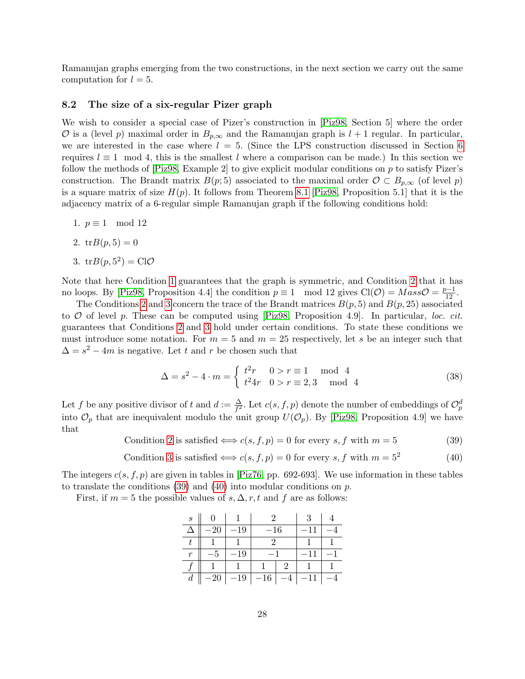Ramanujan graphs emerging from the two constructions, in the next section we carry out the same computation for  $l = 5$ .

#### <span id="page-27-0"></span>8.2 The size of a six-regular Pizer graph

We wish to consider a special case of Pizer's construction in [\[Piz98,](#page-32-1) Section 5] where the order O is a (level p) maximal order in  $B_{p,\infty}$  and the Ramanujan graph is  $l+1$  regular. In particular, we are interested in the case where  $l = 5$ . (Since the LPS construction discussed in Section [6](#page-15-0)) requires  $l \equiv 1 \mod 4$ , this is the smallest l where a comparison can be made.) In this section we follow the methods of [\[Piz98,](#page-32-1) Example 2] to give explicit modular conditions on p to satisfy Pizer's construction. The Brandt matrix  $B(p; 5)$  associated to the maximal order  $\mathcal{O} \subset B_{p,\infty}$  (of level p) is a square matrix of size  $H(p)$ . It follows from Theorem [8.1](#page-26-1) [\[Piz98,](#page-32-1) Proposition 5.1] that it is the adjacency matrix of a 6-regular simple Ramanujan graph if the following conditions hold:

- <span id="page-27-1"></span>1.  $p \equiv 1 \mod 12$
- <span id="page-27-2"></span>2.  $tr B(p, 5) = 0$
- <span id="page-27-3"></span>3.  $tr B(p, 5^2) = ClO$

Note that here Condition [1](#page-27-1) guarantees that the graph is symmetric, and Condition [2](#page-27-2) that it has no loops. By [\[Piz98,](#page-32-1) Proposition 4.4] the condition  $p \equiv 1 \mod 12$  gives  $Cl(\mathcal{O}) = Mass\mathcal{O} = \frac{p-1}{12}$ .

The Conditions [2](#page-27-2) and [3](#page-27-3) concern the trace of the Brandt matrices  $B(p, 5)$  and  $B(p, 25)$  associated to  $\mathcal O$  of level p. These can be computed using [\[Piz98,](#page-32-1) Proposition 4.9]. In particular, loc. cit. guarantees that Conditions [2](#page-27-2) and [3](#page-27-3) hold under certain conditions. To state these conditions we must introduce some notation. For  $m = 5$  and  $m = 25$  respectively, let s be an integer such that  $\Delta = s^2 - 4m$  is negative. Let t and r be chosen such that

$$
\Delta = s^2 - 4 \cdot m = \begin{cases} t^2r & 0 > r \equiv 1 \mod 4 \\ t^24r & 0 > r \equiv 2,3 \mod 4 \end{cases}
$$
 (38)

Let f be any positive divisor of t and  $d := \frac{\Delta}{f^2}$ . Let  $c(s, f, p)$  denote the number of embeddings of  $\mathcal{O}_p^d$ into  $\mathcal{O}_p$  that are inequivalent modulo the unit group  $U(\mathcal{O}_p)$ . By [\[Piz98,](#page-32-1) Proposition 4.9] we have that

<span id="page-27-4"></span>Condition [2](#page-27-2) is satisfied  $\Longleftrightarrow c(s, f, p) = 0$  for every s, f with  $m = 5$  (39)

<span id="page-27-5"></span>Condition 3 is satisfied 
$$
\iff
$$
  $c(s, f, p) = 0$  for every  $s, f$  with  $m = 5^2$  (40)

The integers  $c(s, f, p)$  are given in tables in [\[Piz76,](#page-32-11) pp. 692-693]. We use information in these tables to translate the conditions [\(39\)](#page-27-4) and [\(40\)](#page-27-5) into modular conditions on p.

First, if  $m = 5$  the possible values of  $s, \Delta, r, t$  and f are as follows:

| $\mathcal{S}_{0}$ |    |          | 3 |  |
|-------------------|----|----------|---|--|
|                   | 19 | $^{-16}$ |   |  |
|                   |    |          |   |  |
| r                 | 19 |          |   |  |
|                   |    |          |   |  |
| d                 | 19 | 16       |   |  |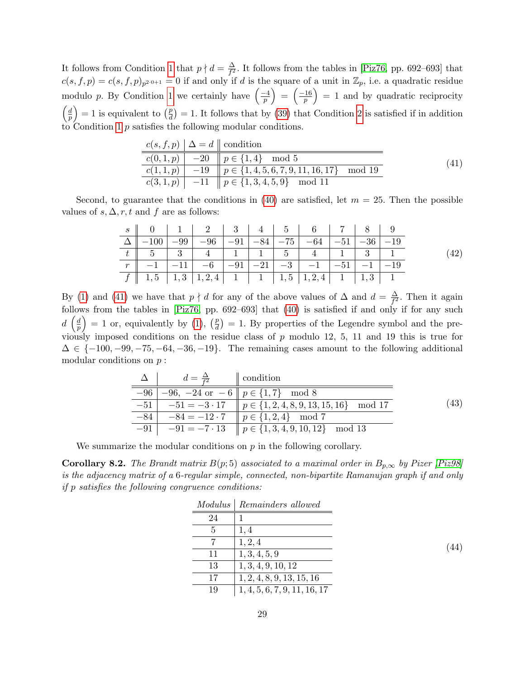It follows from Condition [1](#page-27-1) that  $p \nmid d = \frac{\Delta}{f^2}$  $\frac{\Delta}{f^2}$ . It follows from the tables in [\[Piz76,](#page-32-11) pp. 692–693] that  $c(s, f, p) = c(s, f, p)_{p^{2\cdot 0+1}} = 0$  if and only if d is the square of a unit in  $\mathbb{Z}_p$ , i.e. a quadratic residue modulo p. By Condition [1](#page-27-1) we certainly have  $\left(\frac{-4}{n}\right)$  $\left(\frac{-4}{p}\right) \,=\, \left(\frac{-16}{p}\right)$  $\left(\frac{16}{p}\right) = 1$  and by quadratic reciprocity  $\int d$  $\left(\frac{d}{p}\right) = 1$  is equivalent to  $\left(\frac{p}{d}\right)$  $\frac{p}{d}$  = 1. It follows that by [\(39\)](#page-27-4) that Condition [2](#page-27-2) is satisfied if in addition to Condition [1](#page-27-1)  $p$  satisfies the following modular conditions.

<span id="page-28-0"></span>

|  | $c(s, f, p)   \Delta = d$ condition                      |      |
|--|----------------------------------------------------------|------|
|  | $c(0,1,p) \mid -20 \mid p \in \{1,4\} \mod 5$            | (41) |
|  | $c(1,1,p)$ -19 $\ p \in \{1,4,5,6,7,9,11,16,17\}$ mod 19 |      |
|  | $c(3,1,p)$ -11 $p \in \{1,3,4,5,9\}$ mod 11              |      |

Second, to guarantee that the conditions in [\(40\)](#page-27-5) are satisfied, let  $m = 25$ . Then the possible values of  $s, \Delta, r, t$  and f are as follows:

| s    0    1    2    3    4    5    6    7    8    9                                                                                                 |  |  |                                                                                                                                        |  |  |
|-----------------------------------------------------------------------------------------------------------------------------------------------------|--|--|----------------------------------------------------------------------------------------------------------------------------------------|--|--|
|                                                                                                                                                     |  |  | $-100$   $-99$   $-96$   $-91$   $-84$   $-75$   $-64$   $-51$   $-36$   $-19$                                                         |  |  |
|                                                                                                                                                     |  |  |                                                                                                                                        |  |  |
|                                                                                                                                                     |  |  | $\boxed{-1}$ $\boxed{-11}$ $\boxed{-6}$ $\boxed{-91}$ $\boxed{-21}$ $\boxed{-3}$ $\boxed{-1}$ $\boxed{-51}$ $\boxed{-1}$ $\boxed{-19}$ |  |  |
| $f \parallel 1, 5 \parallel 1, 3 \parallel 1, 2, 4 \parallel 1 \parallel 1 \parallel 1, 5 \parallel 1, 2, 4 \parallel 1 \parallel 1, 3 \parallel 1$ |  |  |                                                                                                                                        |  |  |

By [\(1\)](#page-27-1) and [\(41\)](#page-28-0) we have that  $p \nmid d$  for any of the above values of  $\Delta$  and  $d = \frac{\Delta}{f^2}$  $\frac{\Delta}{f^2}$ . Then it again follows from the tables in [\[Piz76,](#page-32-11) pp. 692–693] that [\(40\)](#page-27-5) is satisfied if and only if for any such  $d\left(\frac{d}{n}\right)$  $\left(\frac{d}{p}\right) = 1$  or, equivalently by [\(1\)](#page-27-1),  $\left(\frac{p}{d}\right)$  $\left(\frac{p}{d}\right) = 1$ . By properties of the Legendre symbol and the previously imposed conditions on the residue class of  $p$  modulo 12, 5, 11 and 19 this is true for  $\Delta \in \{-100, -99, -75, -64, -36, -19\}$ . The remaining cases amount to the following additional modular conditions on  $p$ :

| $d = \frac{\Delta}{I^2}$   condition |                                                                                  |      |
|--------------------------------------|----------------------------------------------------------------------------------|------|
|                                      | $-96$   $-96$ , $-24$ or $-6$    $p \in \{1,7\}$ mod 8                           |      |
|                                      | $-51$ $-51 = -3 \cdot 17$ $\parallel p \in \{1, 2, 4, 8, 9, 13, 15, 16\}$ mod 17 | (43) |
|                                      | $-84$   $-84 = -12 \cdot 7$    $p \in \{1, 2, 4\}$ mod 7                         |      |
|                                      | $-91$ $-91 = -7.13$ $p \in \{1, 3, 4, 9, 10, 12\}$ mod 13                        |      |

We summarize the modular conditions on  $p$  in the following corollary.

<span id="page-28-1"></span>**Corollary 8.2.** The Brandt matrix  $B(p, 5)$  associated to a maximal order in  $B_{p,\infty}$  by Pizer [\[Piz98\]](#page-32-1) is the adjacency matrix of a 6-regular simple, connected, non-bipartite Ramanujan graph if and only if p satisfies the following congruence conditions:

|    | Modulus Remainders allowed   |
|----|------------------------------|
| 24 |                              |
| 5  | 1,4                          |
|    | 1, 2, 4                      |
| 11 | 1, 3, 4, 5, 9                |
| 13 | 1, 3, 4, 9, 10, 12           |
| 17 | 1, 2, 4, 8, 9, 13, 15, 16    |
| 19 | 1, 4, 5, 6, 7, 9, 11, 16, 17 |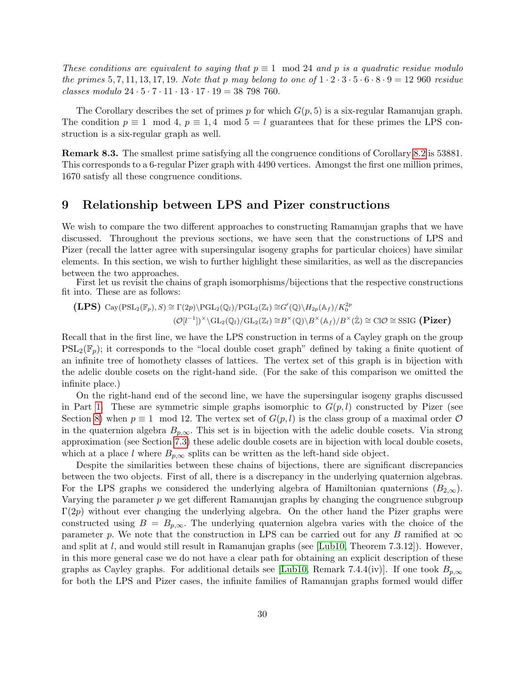These conditions are equivalent to saying that  $p \equiv 1 \mod 24$  and p is a quadratic residue modulo the primes 5, 7, 11, 13, 17, 19. Note that p may belong to one of  $1 \cdot 2 \cdot 3 \cdot 5 \cdot 6 \cdot 8 \cdot 9 = 12$  960 residue classes modulo  $24 \cdot 5 \cdot 7 \cdot 11 \cdot 13 \cdot 17 \cdot 19 = 38798760$ .

The Corollary describes the set of primes p for which  $G(p, 5)$  is a six-regular Ramanujan graph. The condition  $p \equiv 1 \mod 4$ ,  $p \equiv 1, 4 \mod 5 = l$  guarantees that for these primes the LPS construction is a six-regular graph as well.

<span id="page-29-1"></span>Remark 8.3. The smallest prime satisfying all the congruence conditions of Corollary [8.2](#page-28-1) is 53881. This corresponds to a 6-regular Pizer graph with 4490 vertices. Amongst the first one million primes, 1670 satisfy all these congruence conditions.

### <span id="page-29-0"></span>9 Relationship between LPS and Pizer constructions

We wish to compare the two different approaches to constructing Ramanujan graphs that we have discussed. Throughout the previous sections, we have seen that the constructions of LPS and Pizer (recall the latter agree with supersingular isogeny graphs for particular choices) have similar elements. In this section, we wish to further highlight these similarities, as well as the discrepancies between the two approaches.

First let us revisit the chains of graph isomorphisms/bijections that the respective constructions fit into. These are as follows:

$$
\begin{aligned} \mathbf{(LPS)} \text{ Cay}(\mathrm{PSL}_2(\mathbb{F}_p), S) &\cong \Gamma(2p) \backslash \mathrm{PGL}_2(\mathbb{Q}_l) / \mathrm{PGL}_2(\mathbb{Z}_l) \cong G'(\mathbb{Q}) \backslash H_{2p}(\mathbb{A}_f) / K_0^{2p} \\ & (\mathcal{O}[l^{-1}])^\times \backslash \mathrm{GL}_2(\mathbb{Q}_l) / \mathrm{GL}_2(\mathbb{Z}_l) \cong B^\times(\mathbb{Q}) \backslash B^\times(\mathbb{A}_f) / B^\times(\mathbb{Z}) \cong \mathrm{CIO} \cong \mathrm{SSIG} \text{ (Pizer)} \end{aligned}
$$

Recall that in the first line, we have the LPS construction in terms of a Cayley graph on the group  $PSL_2(\mathbb{F}_p)$ ; it corresponds to the "local double coset graph" defined by taking a finite quotient of an infinite tree of homothety classes of lattices. The vertex set of this graph is in bijection with the adelic double cosets on the right-hand side. (For the sake of this comparison we omitted the infinite place.)

On the right-hand end of the second line, we have the supersingular isogeny graphs discussed in Part [1.](#page-2-0) These are symmetric simple graphs isomorphic to  $G(p, l)$  constructed by Pizer (see Section [8\)](#page-25-0) when  $p \equiv 1 \mod 12$ . The vertex set of  $G(p, l)$  is the class group of a maximal order  $\mathcal O$ in the quaternion algebra  $B_{p,\infty}$ . This set is in bijection with the adelic double cosets. Via strong approximation (see Section [7.3\)](#page-24-0) these adelic double cosets are in bijection with local double cosets, which at a place l where  $B_{p,\infty}$  splits can be written as the left-hand side object.

Despite the similarities between these chains of bijections, there are significant discrepancies between the two objects. First of all, there is a discrepancy in the underlying quaternion algebras. For the LPS graphs we considered the underlying algebra of Hamiltonian quaternions  $(B_{2,\infty})$ . Varying the parameter  $p$  we get different Ramanujan graphs by changing the congruence subgroup  $\Gamma(2p)$  without ever changing the underlying algebra. On the other hand the Pizer graphs were constructed using  $B = B_{p,\infty}$ . The underlying quaternion algebra varies with the choice of the parameter p. We note that the construction in LPS can be carried out for any B ramified at  $\infty$ and split at  $l$ , and would still result in Ramanujan graphs (see [\[Lub10,](#page-32-4) Theorem 7.3.12]). However, in this more general case we do not have a clear path for obtaining an explicit description of these graphs as Cayley graphs. For additional details see [\[Lub10,](#page-32-4) Remark 7.4.4(iv)]. If one took  $B_{p,\infty}$ for both the LPS and Pizer cases, the infinite families of Ramanujan graphs formed would differ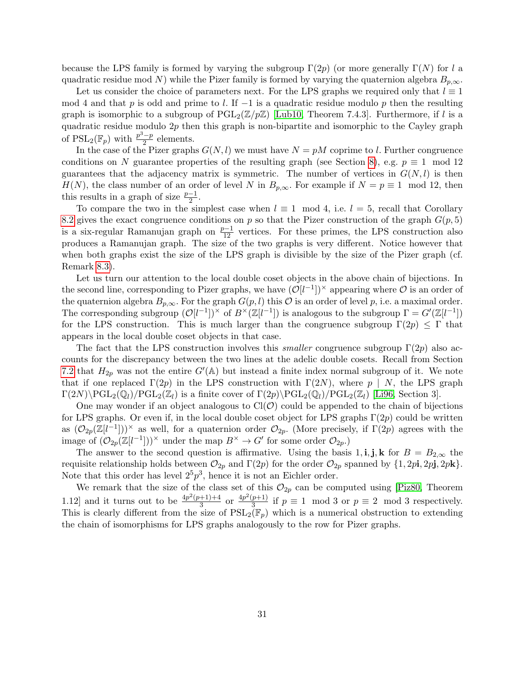because the LPS family is formed by varying the subgroup  $\Gamma(2p)$  (or more generally  $\Gamma(N)$  for l a quadratic residue mod N) while the Pizer family is formed by varying the quaternion algebra  $B_{p,\infty}$ .

Let us consider the choice of parameters next. For the LPS graphs we required only that  $l \equiv 1$ mod 4 and that p is odd and prime to l. If  $-1$  is a quadratic residue modulo p then the resulting graph is isomorphic to a subgroup of  $PGL_2(\mathbb{Z}/p\mathbb{Z})$  [\[Lub10,](#page-32-4) Theorem 7.4.3]. Furthermore, if l is a quadratic residue modulo  $2p$  then this graph is non-bipartite and isomorphic to the Cayley graph of  $\mathrm{PSL}_2(\mathbb{F}_p)$  with  $\frac{p^3-p}{2}$  $\frac{-p}{2}$  elements.

In the case of the Pizer graphs  $G(N, l)$  we must have  $N = pM$  coprime to l. Further congruence conditions on N guarantee properties of the resulting graph (see Section [8\)](#page-25-0), e.g.  $p \equiv 1 \mod 12$ guarantees that the adjacency matrix is symmetric. The number of vertices in  $G(N, l)$  is then  $H(N)$ , the class number of an order of level N in  $B_{p,\infty}$ . For example if  $N = p \equiv 1 \mod 12$ , then this results in a graph of size  $\frac{p-1}{2}$ .

To compare the two in the simplest case when  $l \equiv 1 \mod 4$ , i.e.  $l = 5$ , recall that Corollary [8.2](#page-28-1) gives the exact congruence conditions on p so that the Pizer construction of the graph  $G(p, 5)$ is a six-regular Ramanujan graph on  $\frac{p-1}{12}$  vertices. For these primes, the LPS construction also produces a Ramanujan graph. The size of the two graphs is very different. Notice however that when both graphs exist the size of the LPS graph is divisible by the size of the Pizer graph (cf. Remark [8.3\)](#page-29-1).

Let us turn our attention to the local double coset objects in the above chain of bijections. In the second line, corresponding to Pizer graphs, we have  $(\mathcal{O}[l^{-1}])^{\times}$  appearing where  $\mathcal O$  is an order of the quaternion algebra  $B_{p,\infty}$ . For the graph  $G(p, l)$  this  $\mathcal O$  is an order of level p, i.e. a maximal order. The corresponding subgroup  $(\mathcal{O}[l^{-1}])^{\times}$  of  $B^{\times}(\mathbb{Z}[l^{-1}])$  is analogous to the subgroup  $\Gamma = G'(\mathbb{Z}[l^{-1}])$ for the LPS construction. This is much larger than the congruence subgroup  $\Gamma(2p) \leq \Gamma$  that appears in the local double coset objects in that case.

The fact that the LPS construction involves this *smaller* congruence subgroup  $\Gamma(2p)$  also accounts for the discrepancy between the two lines at the adelic double cosets. Recall from Section [7.2](#page-22-0) that  $H_{2p}$  was not the entire  $G'(\mathbb{A})$  but instead a finite index normal subgroup of it. We note that if one replaced  $\Gamma(2p)$  in the LPS construction with  $\Gamma(2N)$ , where p | N, the LPS graph  $\Gamma(2N)\PGL_2(\mathbb{Q}_l)/\text{PGL}_2(\mathbb{Z}_l)$  is a finite cover of  $\Gamma(2p)\PGL_2(\mathbb{Q}_l)/\text{PGL}_2(\mathbb{Z}_l)$  [\[Li96,](#page-31-6) Section 3].

One may wonder if an object analogous to  $Cl(\mathcal{O})$  could be appended to the chain of bijections for LPS graphs. Or even if, in the local double coset object for LPS graphs  $\Gamma(2p)$  could be written as  $(\mathcal{O}_{2p}(\mathbb{Z}[l^{-1}]))^{\times}$  as well, for a quaternion order  $\mathcal{O}_{2p}$ . (More precisely, if  $\Gamma(2p)$  agrees with the image of  $(\mathcal{O}_{2p}(\mathbb{Z}[l^{-1}]))^{\times}$  under the map  $B^{\times} \to G'$  for some order  $\mathcal{O}_{2p}$ .

The answer to the second question is affirmative. Using the basis 1, i, j, k for  $B = B_{2,\infty}$  the requisite relationship holds between  $\mathcal{O}_{2p}$  and  $\Gamma(2p)$  for the order  $\mathcal{O}_{2p}$  spanned by  $\{1, 2p\mathbf{i}, 2p\mathbf{j}, 2p\mathbf{k}\}.$ Note that this order has level  $2^5p^3$ , hence it is not an Eichler order.

We remark that the size of the class set of this  $\mathcal{O}_{2p}$  can be computed using [\[Piz80,](#page-32-12) Theorem 1.12 and it turns out to be  $\frac{4p^2(p+1)+4}{3}$  $rac{+1+4}{3}$  or  $rac{4p^2(p+1)}{3}$  $\frac{p+1}{3}$  if  $p \equiv 1 \mod 3$  or  $p \equiv 2 \mod 3$  respectively. This is clearly different from the size of  $PSL_2(\mathbb{F}_p)$  which is a numerical obstruction to extending the chain of isomorphisms for LPS graphs analogously to the row for Pizer graphs.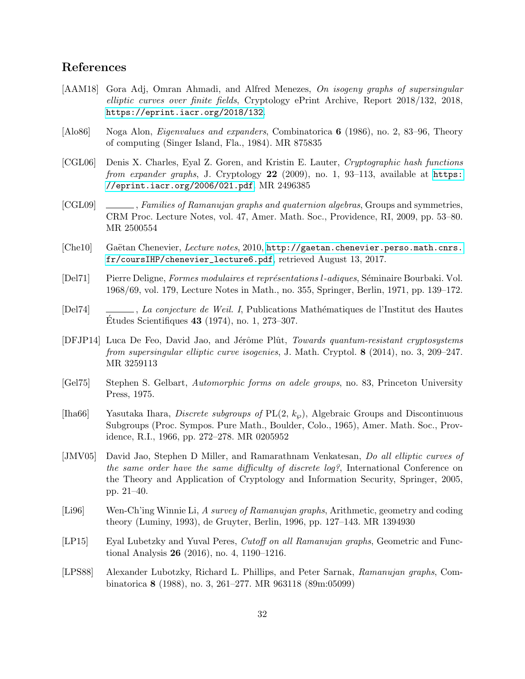# References

- <span id="page-31-3"></span>[AAM18] Gora Adj, Omran Ahmadi, and Alfred Menezes, On isogeny graphs of supersingular elliptic curves over finite fields, Cryptology ePrint Archive, Report 2018/132, 2018, <https://eprint.iacr.org/2018/132>.
- <span id="page-31-7"></span>[Alo86] Noga Alon, Eigenvalues and expanders, Combinatorica 6 (1986), no. 2, 83–96, Theory of computing (Singer Island, Fla., 1984). MR 875835
- <span id="page-31-0"></span>[CGL06] Denis X. Charles, Eyal Z. Goren, and Kristin E. Lauter, Cryptographic hash functions from expander graphs, J. Cryptology  $22$  (2009), no. 1, 93–113, available at [https:](https://eprint.iacr.org/2006/021.pdf) [//eprint.iacr.org/2006/021.pdf](https://eprint.iacr.org/2006/021.pdf). MR 2496385
- <span id="page-31-4"></span>[CGL09] , Families of Ramanujan graphs and quaternion algebras, Groups and symmetries, CRM Proc. Lecture Notes, vol. 47, Amer. Math. Soc., Providence, RI, 2009, pp. 53–80. MR 2500554
- <span id="page-31-11"></span>[Che10] Gaëtan Chenevier, Lecture notes, 2010, [http://gaetan.chenevier.perso.math.cnrs.](http://gaetan.chenevier.perso.math.cnrs.fr/coursIHP/chenevier_lecture6.pdf) [fr/coursIHP/chenevier\\_lecture6.pdf](http://gaetan.chenevier.perso.math.cnrs.fr/coursIHP/chenevier_lecture6.pdf), retrieved August 13, 2017.
- <span id="page-31-8"></span>[Del71] Pierre Deligne, Formes modulaires et représentations l-adiques, Séminaire Bourbaki. Vol. 1968/69, vol. 179, Lecture Notes in Math., no. 355, Springer, Berlin, 1971, pp. 139–172.
- <span id="page-31-10"></span>[Del74] , La conjecture de Weil. I, Publications Mathématiques de l'Institut des Hautes Etudes Scientifiques  $43$  (1974), no. 1, 273–307.
- <span id="page-31-2"></span>[DFJP14] Luca De Feo, David Jao, and Jérôme Plût, Towards quantum-resistant cryptosystems from supersingular elliptic curve isogenies, J. Math. Cryptol. 8 (2014), no. 3, 209–247. MR 3259113
- <span id="page-31-9"></span>[Gel75] Stephen S. Gelbart, Automorphic forms on adele groups, no. 83, Princeton University Press, 1975.
- <span id="page-31-12"></span>[Iha66] Yasutaka Ihara, *Discrete subgroups of*  $PL(2, k_{\varphi})$ , Algebraic Groups and Discontinuous Subgroups (Proc. Sympos. Pure Math., Boulder, Colo., 1965), Amer. Math. Soc., Providence, R.I., 1966, pp. 272–278. MR 0205952
- <span id="page-31-13"></span>[JMV05] David Jao, Stephen D Miller, and Ramarathnam Venkatesan, Do all elliptic curves of the same order have the same difficulty of discrete log?, International Conference on the Theory and Application of Cryptology and Information Security, Springer, 2005, pp. 21–40.
- <span id="page-31-6"></span>[Li96] Wen-Ch'ing Winnie Li, A survey of Ramanujan graphs, Arithmetic, geometry and coding theory (Luminy, 1993), de Gruyter, Berlin, 1996, pp. 127–143. MR 1394930
- <span id="page-31-5"></span>[LP15] Eyal Lubetzky and Yuval Peres, Cutoff on all Ramanujan graphs, Geometric and Functional Analysis 26 (2016), no. 4, 1190–1216.
- <span id="page-31-1"></span>[LPS88] Alexander Lubotzky, Richard L. Phillips, and Peter Sarnak, Ramanujan graphs, Combinatorica 8 (1988), no. 3, 261–277. MR 963118 (89m:05099)